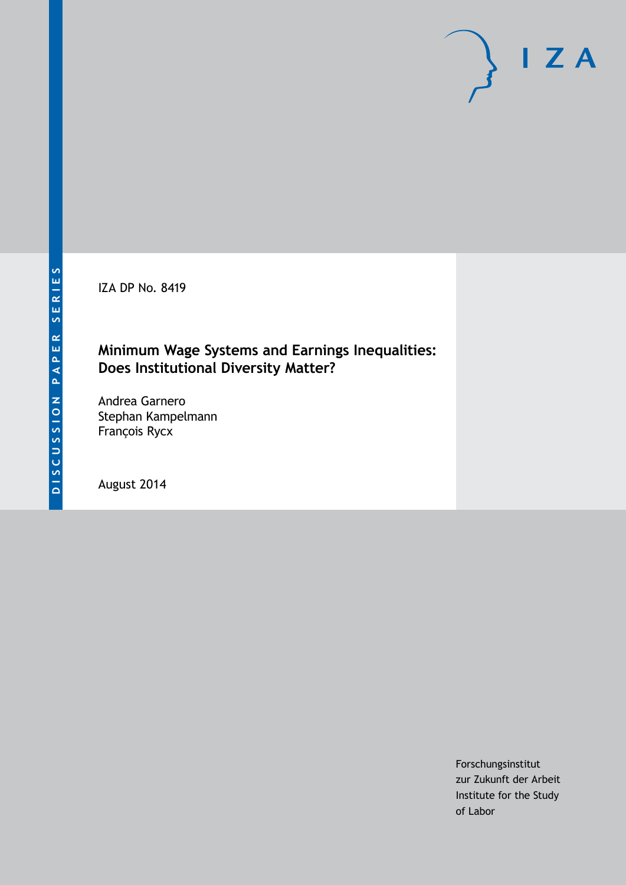IZA DP No. 8419

### **Minimum Wage Systems and Earnings Inequalities: Does Institutional Diversity Matter?**

Andrea Garnero Stephan Kampelmann François Rycx

August 2014

Forschungsinstitut zur Zukunft der Arbeit Institute for the Study of Labor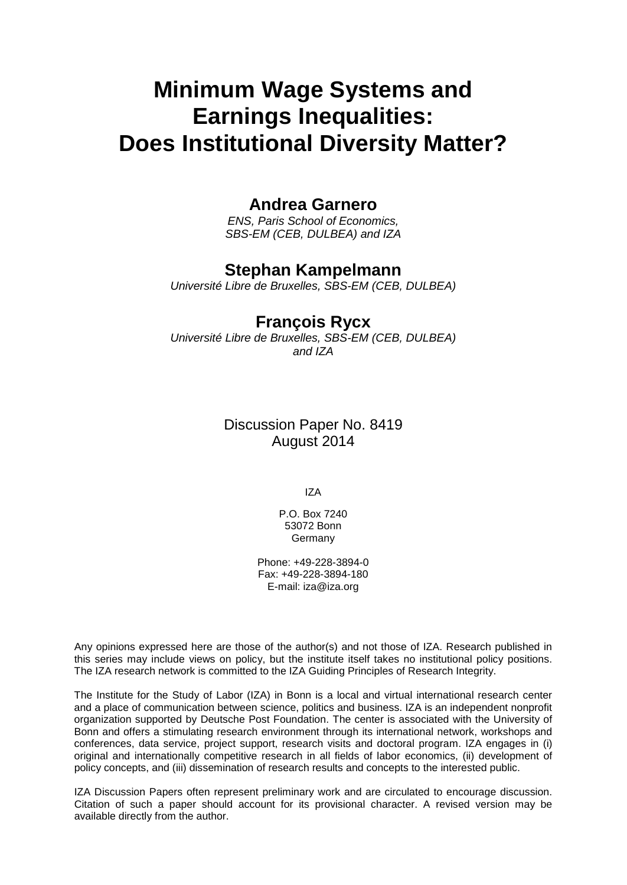# **Minimum Wage Systems and Earnings Inequalities: Does Institutional Diversity Matter?**

### **Andrea Garnero**

*ENS, Paris School of Economics, SBS-EM (CEB, DULBEA) and IZA*

### **Stephan Kampelmann**

*Université Libre de Bruxelles, SBS-EM (CEB, DULBEA)*

### **François Rycx**

*Université Libre de Bruxelles, SBS-EM (CEB, DULBEA) and IZA*

### Discussion Paper No. 8419 August 2014

IZA

P.O. Box 7240 53072 Bonn **Germany** 

Phone: +49-228-3894-0 Fax: +49-228-3894-180 E-mail: [iza@iza.org](mailto:iza@iza.org)

Any opinions expressed here are those of the author(s) and not those of IZA. Research published in this series may include views on policy, but the institute itself takes no institutional policy positions. The IZA research network is committed to the IZA Guiding Principles of Research Integrity.

The Institute for the Study of Labor (IZA) in Bonn is a local and virtual international research center and a place of communication between science, politics and business. IZA is an independent nonprofit organization supported by Deutsche Post Foundation. The center is associated with the University of Bonn and offers a stimulating research environment through its international network, workshops and conferences, data service, project support, research visits and doctoral program. IZA engages in (i) original and internationally competitive research in all fields of labor economics, (ii) development of policy concepts, and (iii) dissemination of research results and concepts to the interested public.

<span id="page-1-0"></span>IZA Discussion Papers often represent preliminary work and are circulated to encourage discussion. Citation of such a paper should account for its provisional character. A revised version may be available directly from the author.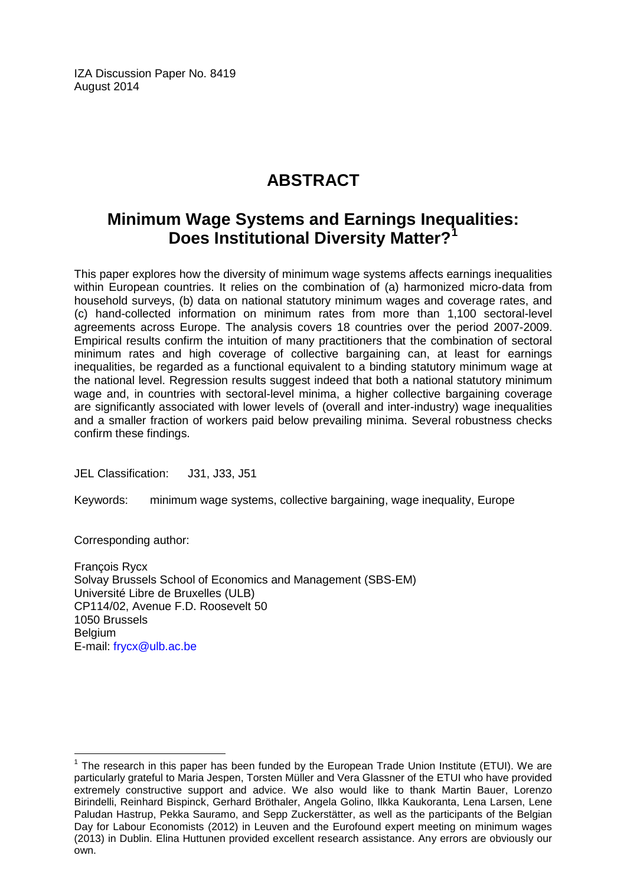IZA Discussion Paper No. 8419 August 2014

## **ABSTRACT**

### **Minimum Wage Systems and Earnings Inequalities: Does Institutional Diversity Matter?[1](#page-1-0)**

This paper explores how the diversity of minimum wage systems affects earnings inequalities within European countries. It relies on the combination of (a) harmonized micro-data from household surveys, (b) data on national statutory minimum wages and coverage rates, and (c) hand-collected information on minimum rates from more than 1,100 sectoral-level agreements across Europe. The analysis covers 18 countries over the period 2007-2009. Empirical results confirm the intuition of many practitioners that the combination of sectoral minimum rates and high coverage of collective bargaining can, at least for earnings inequalities, be regarded as a functional equivalent to a binding statutory minimum wage at the national level. Regression results suggest indeed that both a national statutory minimum wage and, in countries with sectoral-level minima, a higher collective bargaining coverage are significantly associated with lower levels of (overall and inter-industry) wage inequalities and a smaller fraction of workers paid below prevailing minima. Several robustness checks confirm these findings.

JEL Classification: J31, J33, J51

Keywords: minimum wage systems, collective bargaining, wage inequality, Europe

Corresponding author:

François Rycx Solvay Brussels School of Economics and Management (SBS-EM) Université Libre de Bruxelles (ULB) CP114/02, Avenue F.D. Roosevelt 50 1050 Brussels Belgium E-mail: [frycx@ulb.ac.be](mailto:frycx@ulb.ac.be)

 $1$  The research in this paper has been funded by the European Trade Union Institute (ETUI). We are particularly grateful to Maria Jespen, Torsten Müller and Vera Glassner of the ETUI who have provided extremely constructive support and advice. We also would like to thank Martin Bauer, Lorenzo Birindelli, Reinhard Bispinck, Gerhard Bröthaler, Angela Golino, Ilkka Kaukoranta, Lena Larsen, Lene Paludan Hastrup, Pekka Sauramo, and Sepp Zuckerstätter, as well as the participants of the Belgian Day for Labour Economists (2012) in Leuven and the Eurofound expert meeting on minimum wages (2013) in Dublin. Elina Huttunen provided excellent research assistance. Any errors are obviously our own.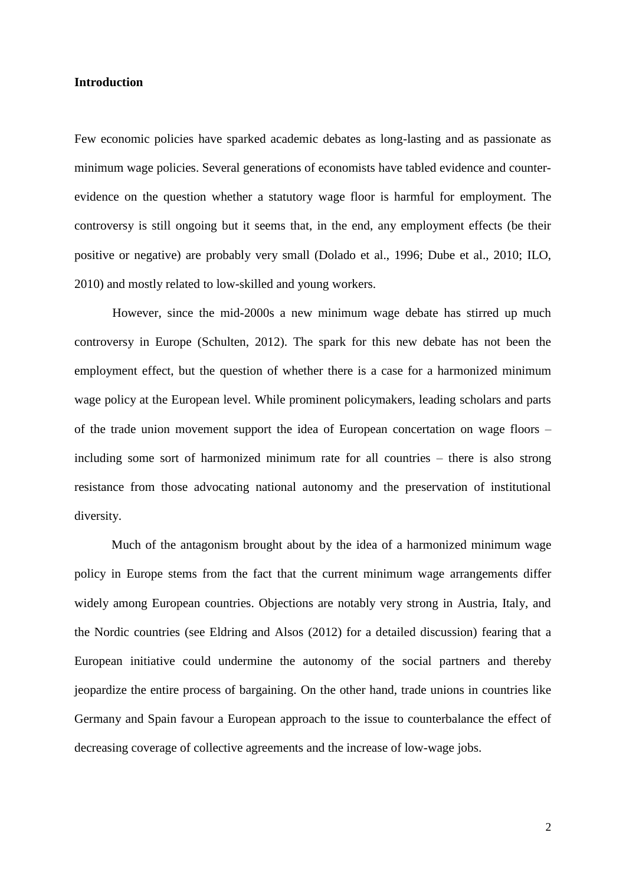#### **Introduction**

Few economic policies have sparked academic debates as long-lasting and as passionate as minimum wage policies. Several generations of economists have tabled evidence and counterevidence on the question whether a statutory wage floor is harmful for employment. The controversy is still ongoing but it seems that, in the end, any employment effects (be their positive or negative) are probably very small (Dolado et al., 1996; Dube et al., 2010; ILO, 2010) and mostly related to low-skilled and young workers.

However, since the mid-2000s a new minimum wage debate has stirred up much controversy in Europe (Schulten, 2012). The spark for this new debate has not been the employment effect, but the question of whether there is a case for a harmonized minimum wage policy at the European level. While prominent policymakers, leading scholars and parts of the trade union movement support the idea of European concertation on wage floors – including some sort of harmonized minimum rate for all countries – there is also strong resistance from those advocating national autonomy and the preservation of institutional diversity.

Much of the antagonism brought about by the idea of a harmonized minimum wage policy in Europe stems from the fact that the current minimum wage arrangements differ widely among European countries. Objections are notably very strong in Austria, Italy, and the Nordic countries (see Eldring and Alsos (2012) for a detailed discussion) fearing that a European initiative could undermine the autonomy of the social partners and thereby jeopardize the entire process of bargaining. On the other hand, trade unions in countries like Germany and Spain favour a European approach to the issue to counterbalance the effect of decreasing coverage of collective agreements and the increase of low-wage jobs.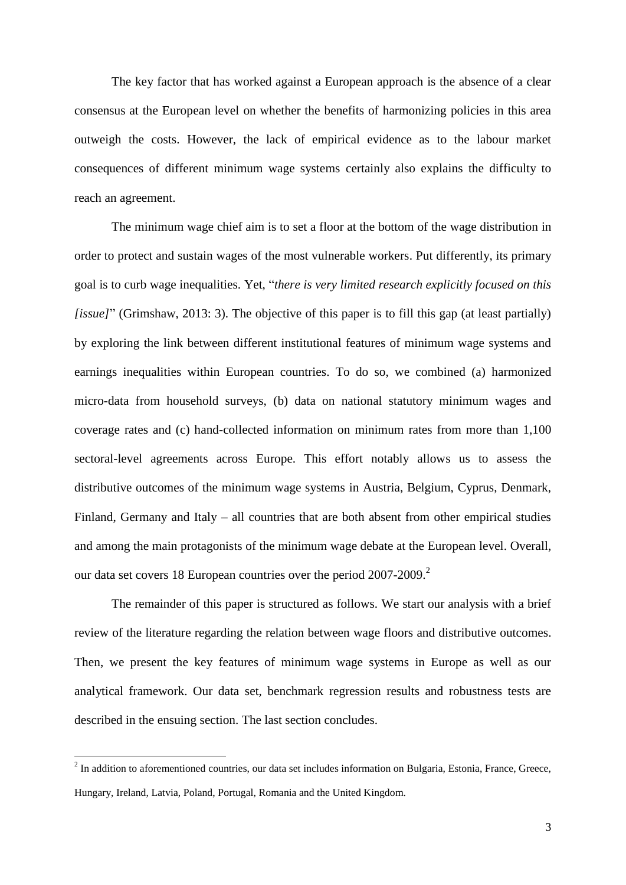The key factor that has worked against a European approach is the absence of a clear consensus at the European level on whether the benefits of harmonizing policies in this area outweigh the costs. However, the lack of empirical evidence as to the labour market consequences of different minimum wage systems certainly also explains the difficulty to reach an agreement.

The minimum wage chief aim is to set a floor at the bottom of the wage distribution in order to protect and sustain wages of the most vulnerable workers. Put differently, its primary goal is to curb wage inequalities. Yet, "*there is very limited research explicitly focused on this [issue]*" (Grimshaw, 2013: 3). The objective of this paper is to fill this gap (at least partially) by exploring the link between different institutional features of minimum wage systems and earnings inequalities within European countries. To do so, we combined (a) harmonized micro-data from household surveys, (b) data on national statutory minimum wages and coverage rates and (c) hand-collected information on minimum rates from more than 1,100 sectoral-level agreements across Europe. This effort notably allows us to assess the distributive outcomes of the minimum wage systems in Austria, Belgium, Cyprus, Denmark, Finland, Germany and Italy – all countries that are both absent from other empirical studies and among the main protagonists of the minimum wage debate at the European level. Overall, our data set covers 18 European countries over the period 2007-2009.<sup>2</sup>

The remainder of this paper is structured as follows. We start our analysis with a brief review of the literature regarding the relation between wage floors and distributive outcomes. Then, we present the key features of minimum wage systems in Europe as well as our analytical framework. Our data set, benchmark regression results and robustness tests are described in the ensuing section. The last section concludes.

1

 $2$  In addition to aforementioned countries, our data set includes information on Bulgaria, Estonia, France, Greece, Hungary, Ireland, Latvia, Poland, Portugal, Romania and the United Kingdom.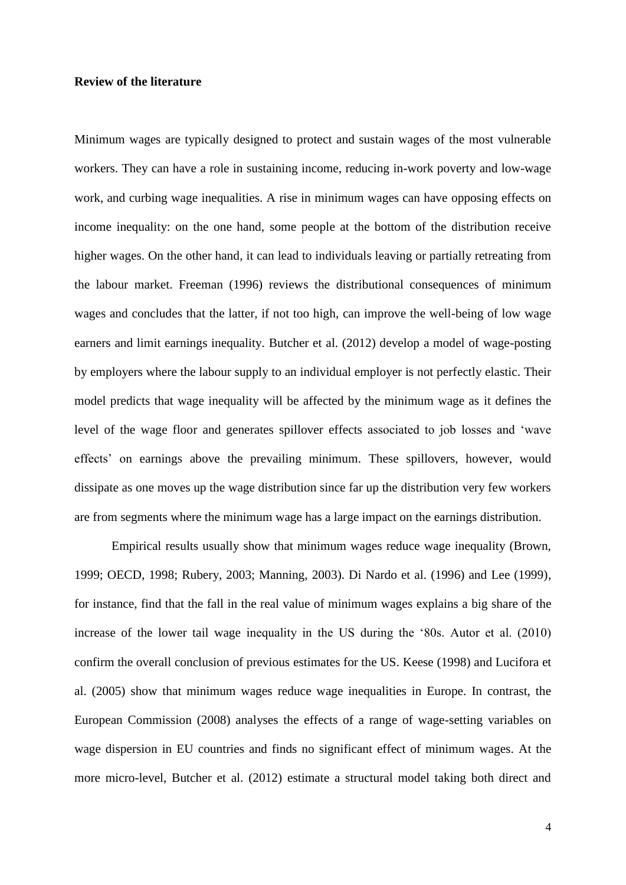#### **Review of the literature**

Minimum wages are typically designed to protect and sustain wages of the most vulnerable workers. They can have a role in sustaining income, reducing in-work poverty and low-wage work, and curbing wage inequalities. A rise in minimum wages can have opposing effects on income inequality: on the one hand, some people at the bottom of the distribution receive higher wages. On the other hand, it can lead to individuals leaving or partially retreating from the labour market. Freeman (1996) reviews the distributional consequences of minimum wages and concludes that the latter, if not too high, can improve the well-being of low wage earners and limit earnings inequality. Butcher et al. (2012) develop a model of wage-posting by employers where the labour supply to an individual employer is not perfectly elastic. Their model predicts that wage inequality will be affected by the minimum wage as it defines the level of the wage floor and generates spillover effects associated to job losses and 'wave effects' on earnings above the prevailing minimum. These spillovers, however, would dissipate as one moves up the wage distribution since far up the distribution very few workers are from segments where the minimum wage has a large impact on the earnings distribution.

Empirical results usually show that minimum wages reduce wage inequality (Brown, 1999; OECD, 1998; Rubery, 2003; Manning, 2003). Di Nardo et al. (1996) and Lee (1999), for instance, find that the fall in the real value of minimum wages explains a big share of the increase of the lower tail wage inequality in the US during the '80s. Autor et al. (2010) confirm the overall conclusion of previous estimates for the US. Keese (1998) and Lucifora et al. (2005) show that minimum wages reduce wage inequalities in Europe. In contrast, the European Commission (2008) analyses the effects of a range of wage-setting variables on wage dispersion in EU countries and finds no significant effect of minimum wages. At the more micro-level, Butcher et al. (2012) estimate a structural model taking both direct and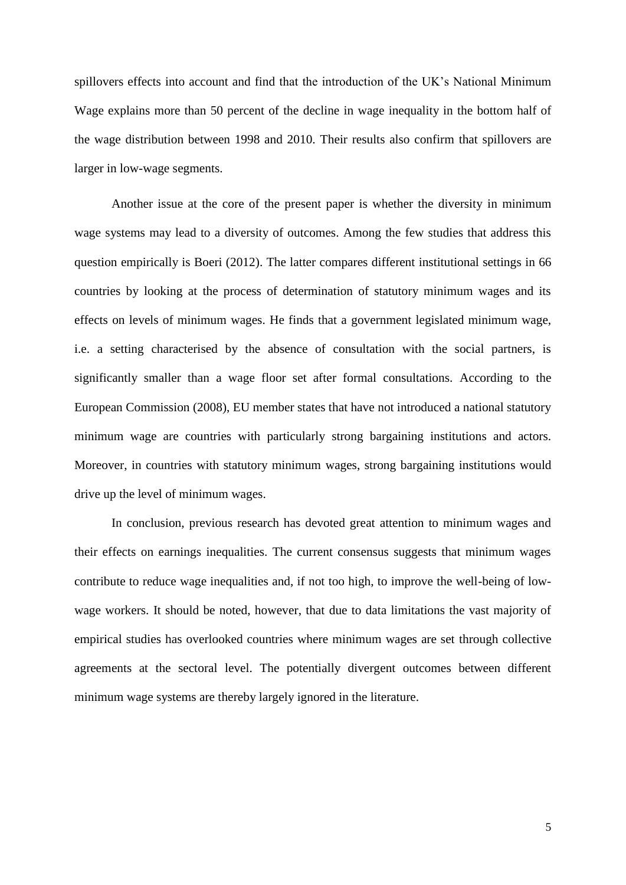spillovers effects into account and find that the introduction of the UK's National Minimum Wage explains more than 50 percent of the decline in wage inequality in the bottom half of the wage distribution between 1998 and 2010. Their results also confirm that spillovers are larger in low-wage segments.

Another issue at the core of the present paper is whether the diversity in minimum wage systems may lead to a diversity of outcomes. Among the few studies that address this question empirically is Boeri (2012). The latter compares different institutional settings in 66 countries by looking at the process of determination of statutory minimum wages and its effects on levels of minimum wages. He finds that a government legislated minimum wage, i.e. a setting characterised by the absence of consultation with the social partners, is significantly smaller than a wage floor set after formal consultations. According to the European Commission (2008), EU member states that have not introduced a national statutory minimum wage are countries with particularly strong bargaining institutions and actors. Moreover, in countries with statutory minimum wages, strong bargaining institutions would drive up the level of minimum wages.

In conclusion, previous research has devoted great attention to minimum wages and their effects on earnings inequalities. The current consensus suggests that minimum wages contribute to reduce wage inequalities and, if not too high, to improve the well-being of lowwage workers. It should be noted, however, that due to data limitations the vast majority of empirical studies has overlooked countries where minimum wages are set through collective agreements at the sectoral level. The potentially divergent outcomes between different minimum wage systems are thereby largely ignored in the literature.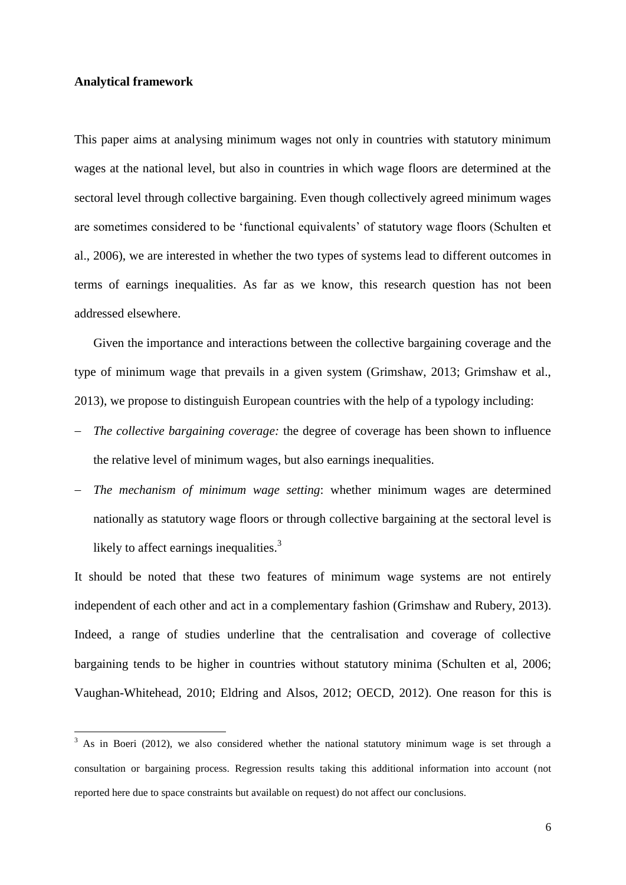#### **Analytical framework**

<u>.</u>

This paper aims at analysing minimum wages not only in countries with statutory minimum wages at the national level, but also in countries in which wage floors are determined at the sectoral level through collective bargaining. Even though collectively agreed minimum wages are sometimes considered to be 'functional equivalents' of statutory wage floors (Schulten et al., 2006), we are interested in whether the two types of systems lead to different outcomes in terms of earnings inequalities. As far as we know, this research question has not been addressed elsewhere.

Given the importance and interactions between the collective bargaining coverage and the type of minimum wage that prevails in a given system (Grimshaw, 2013; Grimshaw et al., 2013), we propose to distinguish European countries with the help of a typology including:

- *The collective bargaining coverage:* the degree of coverage has been shown to influence the relative level of minimum wages, but also earnings inequalities.
- *The mechanism of minimum wage setting*: whether minimum wages are determined nationally as statutory wage floors or through collective bargaining at the sectoral level is likely to affect earnings inequalities.<sup>3</sup>

It should be noted that these two features of minimum wage systems are not entirely independent of each other and act in a complementary fashion (Grimshaw and Rubery, 2013). Indeed, a range of studies underline that the centralisation and coverage of collective bargaining tends to be higher in countries without statutory minima (Schulten et al, 2006; Vaughan-Whitehead, 2010; Eldring and Alsos, 2012; OECD, 2012). One reason for this is

<sup>3</sup> As in Boeri (2012), we also considered whether the national statutory minimum wage is set through a consultation or bargaining process. Regression results taking this additional information into account (not reported here due to space constraints but available on request) do not affect our conclusions.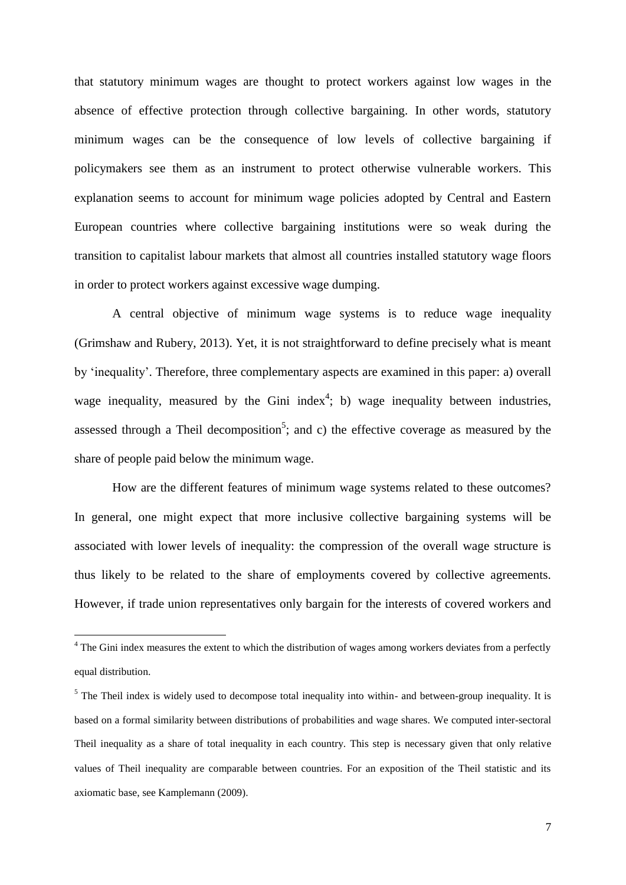that statutory minimum wages are thought to protect workers against low wages in the absence of effective protection through collective bargaining. In other words, statutory minimum wages can be the consequence of low levels of collective bargaining if policymakers see them as an instrument to protect otherwise vulnerable workers. This explanation seems to account for minimum wage policies adopted by Central and Eastern European countries where collective bargaining institutions were so weak during the transition to capitalist labour markets that almost all countries installed statutory wage floors in order to protect workers against excessive wage dumping.

A central objective of minimum wage systems is to reduce wage inequality (Grimshaw and Rubery, 2013). Yet, it is not straightforward to define precisely what is meant by 'inequality'. Therefore, three complementary aspects are examined in this paper: a) overall wage inequality, measured by the Gini index<sup>4</sup>; b) wage inequality between industries, assessed through a Theil decomposition<sup>5</sup>; and c) the effective coverage as measured by the share of people paid below the minimum wage.

How are the different features of minimum wage systems related to these outcomes? In general, one might expect that more inclusive collective bargaining systems will be associated with lower levels of inequality: the compression of the overall wage structure is thus likely to be related to the share of employments covered by collective agreements. However, if trade union representatives only bargain for the interests of covered workers and

<u>.</u>

 $4$  The Gini index measures the extent to which the distribution of wages among workers deviates from a perfectly equal distribution.

<sup>&</sup>lt;sup>5</sup> The Theil index is widely used to decompose total inequality into within- and between-group inequality. It is based on a formal similarity between distributions of probabilities and wage shares. We computed inter-sectoral Theil inequality as a share of total inequality in each country. This step is necessary given that only relative values of Theil inequality are comparable between countries. For an exposition of the Theil statistic and its axiomatic base, see Kamplemann (2009).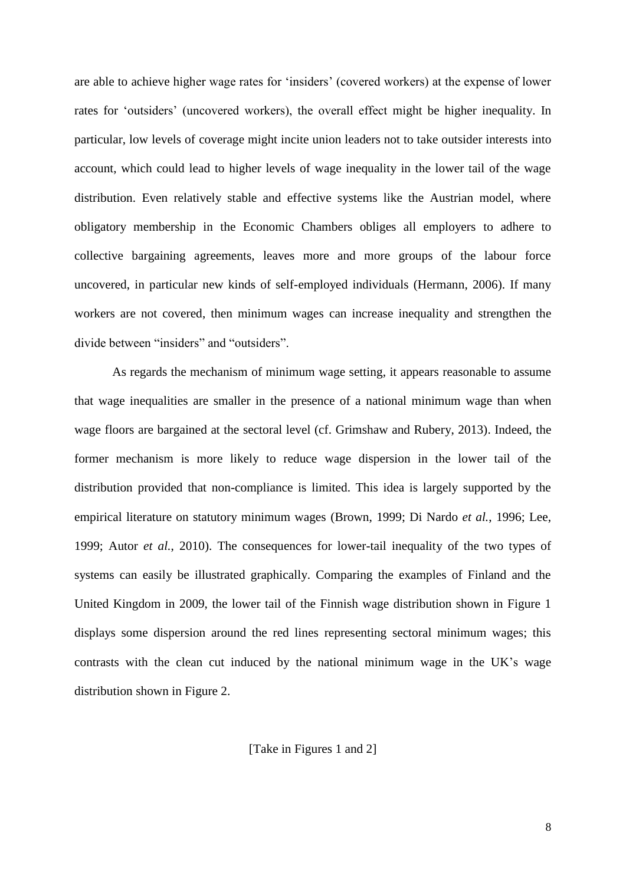are able to achieve higher wage rates for 'insiders' (covered workers) at the expense of lower rates for 'outsiders' (uncovered workers), the overall effect might be higher inequality. In particular, low levels of coverage might incite union leaders not to take outsider interests into account, which could lead to higher levels of wage inequality in the lower tail of the wage distribution. Even relatively stable and effective systems like the Austrian model, where obligatory membership in the Economic Chambers obliges all employers to adhere to collective bargaining agreements, leaves more and more groups of the labour force uncovered, in particular new kinds of self-employed individuals (Hermann, 2006). If many workers are not covered, then minimum wages can increase inequality and strengthen the divide between "insiders" and "outsiders".

As regards the mechanism of minimum wage setting, it appears reasonable to assume that wage inequalities are smaller in the presence of a national minimum wage than when wage floors are bargained at the sectoral level (cf. Grimshaw and Rubery, 2013). Indeed, the former mechanism is more likely to reduce wage dispersion in the lower tail of the distribution provided that non-compliance is limited. This idea is largely supported by the empirical literature on statutory minimum wages (Brown, 1999; Di Nardo *et al.*, 1996; Lee, 1999; Autor *et al.*, 2010). The consequences for lower-tail inequality of the two types of systems can easily be illustrated graphically. Comparing the examples of Finland and the United Kingdom in 2009, the lower tail of the Finnish wage distribution shown in Figure 1 displays some dispersion around the red lines representing sectoral minimum wages; this contrasts with the clean cut induced by the national minimum wage in the UK's wage distribution shown in Figure 2.

[Take in Figures 1 and 2]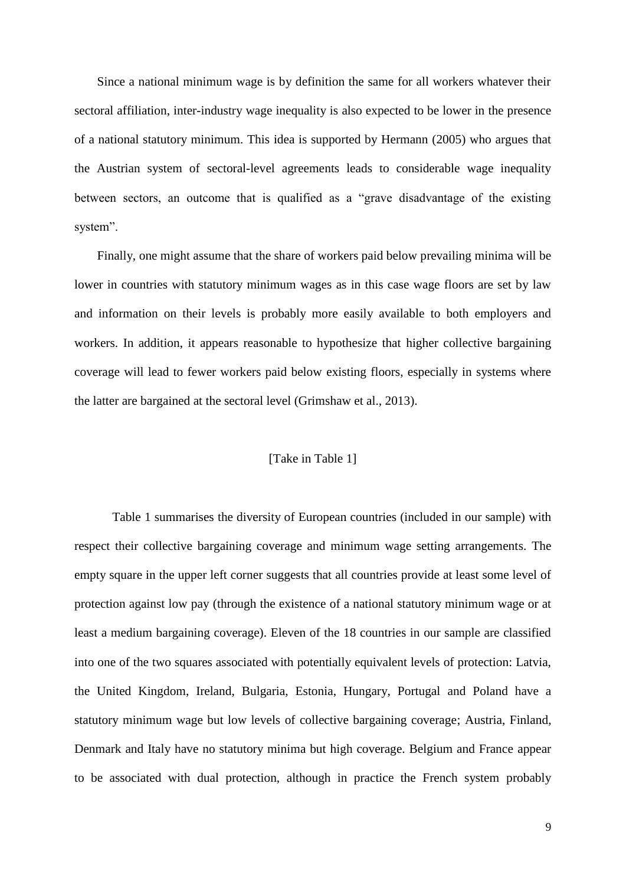Since a national minimum wage is by definition the same for all workers whatever their sectoral affiliation, inter-industry wage inequality is also expected to be lower in the presence of a national statutory minimum. This idea is supported by Hermann (2005) who argues that the Austrian system of sectoral-level agreements leads to considerable wage inequality between sectors, an outcome that is qualified as a "grave disadvantage of the existing system".

Finally, one might assume that the share of workers paid below prevailing minima will be lower in countries with statutory minimum wages as in this case wage floors are set by law and information on their levels is probably more easily available to both employers and workers. In addition, it appears reasonable to hypothesize that higher collective bargaining coverage will lead to fewer workers paid below existing floors, especially in systems where the latter are bargained at the sectoral level (Grimshaw et al., 2013).

#### [Take in Table 1]

Table 1 summarises the diversity of European countries (included in our sample) with respect their collective bargaining coverage and minimum wage setting arrangements. The empty square in the upper left corner suggests that all countries provide at least some level of protection against low pay (through the existence of a national statutory minimum wage or at least a medium bargaining coverage). Eleven of the 18 countries in our sample are classified into one of the two squares associated with potentially equivalent levels of protection: Latvia, the United Kingdom, Ireland, Bulgaria, Estonia, Hungary, Portugal and Poland have a statutory minimum wage but low levels of collective bargaining coverage; Austria, Finland, Denmark and Italy have no statutory minima but high coverage. Belgium and France appear to be associated with dual protection, although in practice the French system probably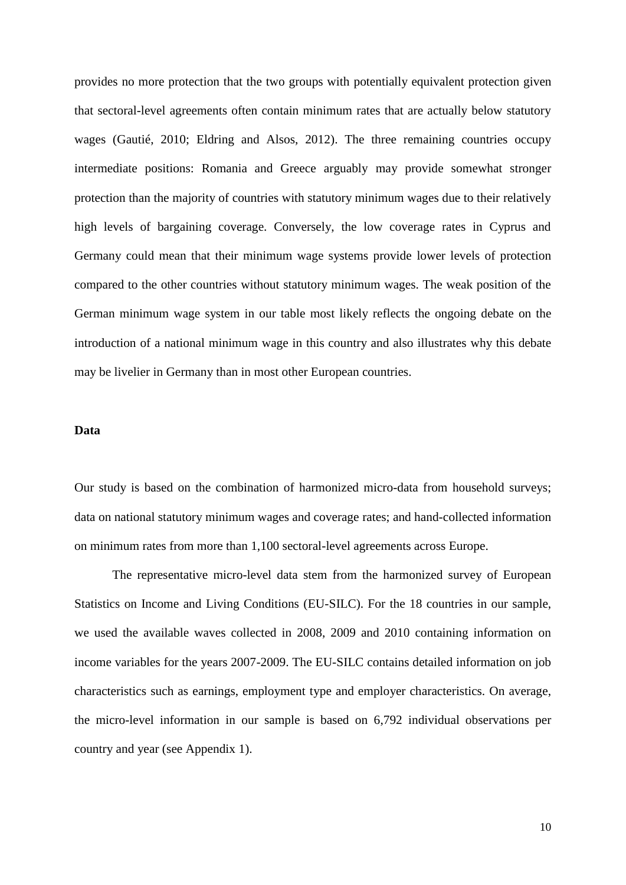provides no more protection that the two groups with potentially equivalent protection given that sectoral-level agreements often contain minimum rates that are actually below statutory wages (Gautié, 2010; Eldring and Alsos, 2012). The three remaining countries occupy intermediate positions: Romania and Greece arguably may provide somewhat stronger protection than the majority of countries with statutory minimum wages due to their relatively high levels of bargaining coverage. Conversely, the low coverage rates in Cyprus and Germany could mean that their minimum wage systems provide lower levels of protection compared to the other countries without statutory minimum wages. The weak position of the German minimum wage system in our table most likely reflects the ongoing debate on the introduction of a national minimum wage in this country and also illustrates why this debate may be livelier in Germany than in most other European countries.

#### **Data**

Our study is based on the combination of harmonized micro-data from household surveys; data on national statutory minimum wages and coverage rates; and hand-collected information on minimum rates from more than 1,100 sectoral-level agreements across Europe.

The representative micro-level data stem from the harmonized survey of European Statistics on Income and Living Conditions (EU-SILC). For the 18 countries in our sample, we used the available waves collected in 2008, 2009 and 2010 containing information on income variables for the years 2007-2009. The EU-SILC contains detailed information on job characteristics such as earnings, employment type and employer characteristics. On average, the micro-level information in our sample is based on 6,792 individual observations per country and year (see Appendix 1).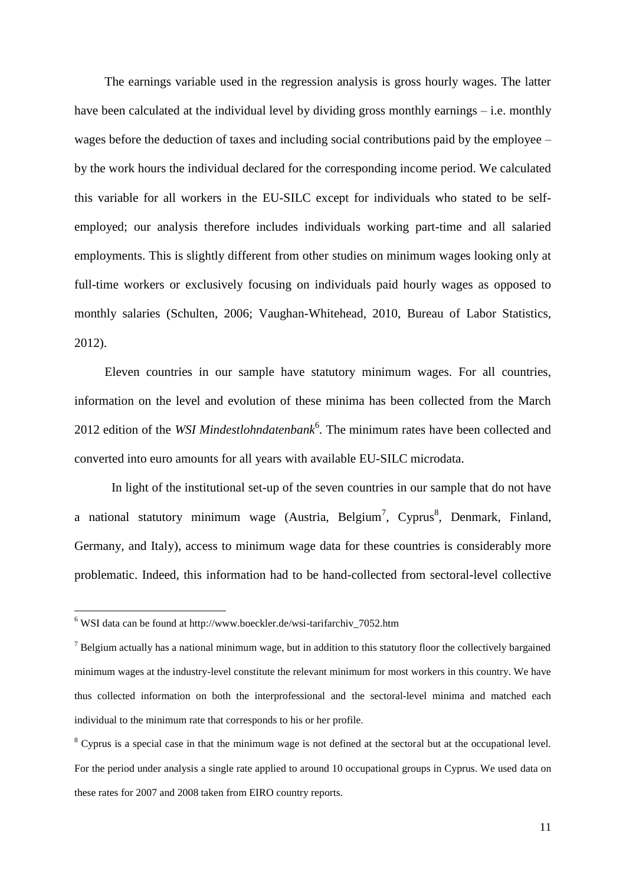The earnings variable used in the regression analysis is gross hourly wages. The latter have been calculated at the individual level by dividing gross monthly earnings – i.e. monthly wages before the deduction of taxes and including social contributions paid by the employee – by the work hours the individual declared for the corresponding income period. We calculated this variable for all workers in the EU-SILC except for individuals who stated to be selfemployed; our analysis therefore includes individuals working part-time and all salaried employments. This is slightly different from other studies on minimum wages looking only at full-time workers or exclusively focusing on individuals paid hourly wages as opposed to monthly salaries (Schulten, 2006; Vaughan-Whitehead, 2010, Bureau of Labor Statistics, 2012).

Eleven countries in our sample have statutory minimum wages. For all countries, information on the level and evolution of these minima has been collected from the March 2012 edition of the *WSI Mindestlohndatenbank*<sup>6</sup>. The minimum rates have been collected and converted into euro amounts for all years with available EU-SILC microdata.

In light of the institutional set-up of the seven countries in our sample that do not have a national statutory minimum wage (Austria, Belgium<sup>7</sup>, Cyprus<sup>8</sup>, Denmark, Finland, Germany, and Italy), access to minimum wage data for these countries is considerably more problematic. Indeed, this information had to be hand-collected from sectoral-level collective

1

<sup>8</sup> Cyprus is a special case in that the minimum wage is not defined at the sectoral but at the occupational level. For the period under analysis a single rate applied to around 10 occupational groups in Cyprus. We used data on these rates for 2007 and 2008 taken from EIRO country reports.

 $6$  WSI data can be found at http://www.boeckler.de/wsi-tarifarchiv 7052.htm

 $<sup>7</sup>$  Belgium actually has a national minimum wage, but in addition to this statutory floor the collectively bargained</sup> minimum wages at the industry-level constitute the relevant minimum for most workers in this country. We have thus collected information on both the interprofessional and the sectoral-level minima and matched each individual to the minimum rate that corresponds to his or her profile.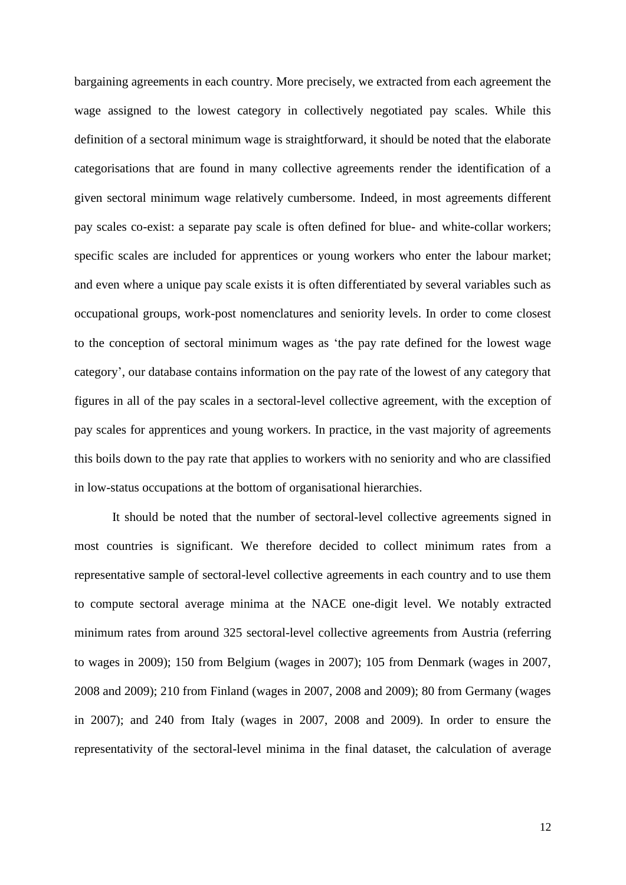bargaining agreements in each country. More precisely, we extracted from each agreement the wage assigned to the lowest category in collectively negotiated pay scales. While this definition of a sectoral minimum wage is straightforward, it should be noted that the elaborate categorisations that are found in many collective agreements render the identification of a given sectoral minimum wage relatively cumbersome. Indeed, in most agreements different pay scales co-exist: a separate pay scale is often defined for blue- and white-collar workers; specific scales are included for apprentices or young workers who enter the labour market; and even where a unique pay scale exists it is often differentiated by several variables such as occupational groups, work-post nomenclatures and seniority levels. In order to come closest to the conception of sectoral minimum wages as 'the pay rate defined for the lowest wage category', our database contains information on the pay rate of the lowest of any category that figures in all of the pay scales in a sectoral-level collective agreement, with the exception of pay scales for apprentices and young workers. In practice, in the vast majority of agreements this boils down to the pay rate that applies to workers with no seniority and who are classified in low-status occupations at the bottom of organisational hierarchies.

It should be noted that the number of sectoral-level collective agreements signed in most countries is significant. We therefore decided to collect minimum rates from a representative sample of sectoral-level collective agreements in each country and to use them to compute sectoral average minima at the NACE one-digit level. We notably extracted minimum rates from around 325 sectoral-level collective agreements from Austria (referring to wages in 2009); 150 from Belgium (wages in 2007); 105 from Denmark (wages in 2007, 2008 and 2009); 210 from Finland (wages in 2007, 2008 and 2009); 80 from Germany (wages in 2007); and 240 from Italy (wages in 2007, 2008 and 2009). In order to ensure the representativity of the sectoral-level minima in the final dataset, the calculation of average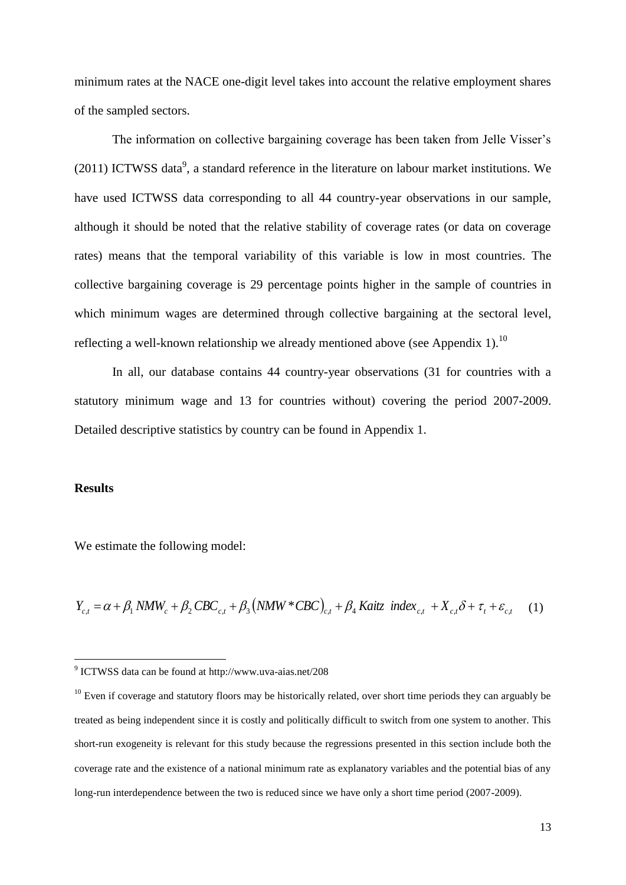minimum rates at the NACE one-digit level takes into account the relative employment shares of the sampled sectors.

The information on collective bargaining coverage has been taken from Jelle Visser's  $(2011)$  ICTWSS data<sup>9</sup>, a standard reference in the literature on labour market institutions. We have used ICTWSS data corresponding to all 44 country-year observations in our sample, although it should be noted that the relative stability of coverage rates (or data on coverage rates) means that the temporal variability of this variable is low in most countries. The collective bargaining coverage is 29 percentage points higher in the sample of countries in which minimum wages are determined through collective bargaining at the sectoral level, reflecting a well-known relationship we already mentioned above (see Appendix 1).<sup>10</sup>

In all, our database contains 44 country-year observations (31 for countries with a statutory minimum wage and 13 for countries without) covering the period 2007-2009. Detailed descriptive statistics by country can be found in Appendix 1.

#### **Results**

1

We estimate the following model:

 $Y_{c,t} = \alpha + \beta_1 NMW_c + \beta_2 CBC_{c,t} + \beta_3 (NMW * CBC)_{c,t} + \beta_4 Kaitz \ index_{c,t} + X_{c,t} \delta + \tau_t + \varepsilon_{c,t}$ (1)

<sup>9</sup> ICTWSS data can be found at http://www.uva-aias.net/208

 $10$  Even if coverage and statutory floors may be historically related, over short time periods they can arguably be treated as being independent since it is costly and politically difficult to switch from one system to another. This short-run exogeneity is relevant for this study because the regressions presented in this section include both the coverage rate and the existence of a national minimum rate as explanatory variables and the potential bias of any long-run interdependence between the two is reduced since we have only a short time period (2007-2009).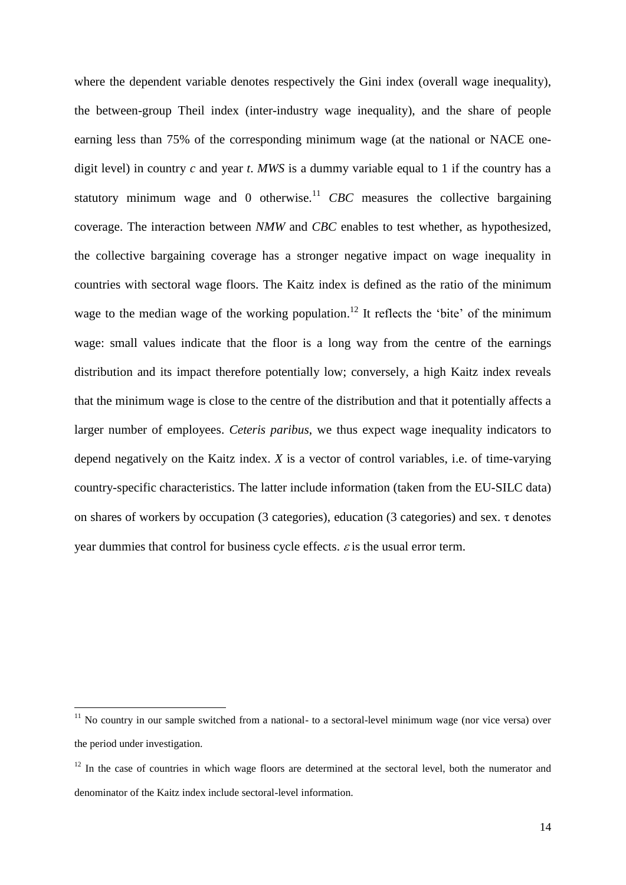where the dependent variable denotes respectively the Gini index (overall wage inequality), the between-group Theil index (inter-industry wage inequality), and the share of people earning less than 75% of the corresponding minimum wage (at the national or NACE onedigit level) in country *c* and year *t*. *MWS* is a dummy variable equal to 1 if the country has a statutory minimum wage and 0 otherwise.<sup>11</sup> CBC measures the collective bargaining coverage. The interaction between *NMW* and *CBC* enables to test whether, as hypothesized, the collective bargaining coverage has a stronger negative impact on wage inequality in countries with sectoral wage floors. The Kaitz index is defined as the ratio of the minimum wage to the median wage of the working population.<sup>12</sup> It reflects the 'bite' of the minimum wage: small values indicate that the floor is a long way from the centre of the earnings distribution and its impact therefore potentially low; conversely, a high Kaitz index reveals that the minimum wage is close to the centre of the distribution and that it potentially affects a larger number of employees. *Ceteris paribus*, we thus expect wage inequality indicators to depend negatively on the Kaitz index. *X* is a vector of control variables, i.e. of time-varying country-specific characteristics. The latter include information (taken from the EU-SILC data) on shares of workers by occupation (3 categories), education (3 categories) and sex. τ denotes year dummies that control for business cycle effects.  $\varepsilon$  is the usual error term.

<u>.</u>

 $11$  No country in our sample switched from a national- to a sectoral-level minimum wage (nor vice versa) over the period under investigation.

 $12$  In the case of countries in which wage floors are determined at the sectoral level, both the numerator and denominator of the Kaitz index include sectoral-level information.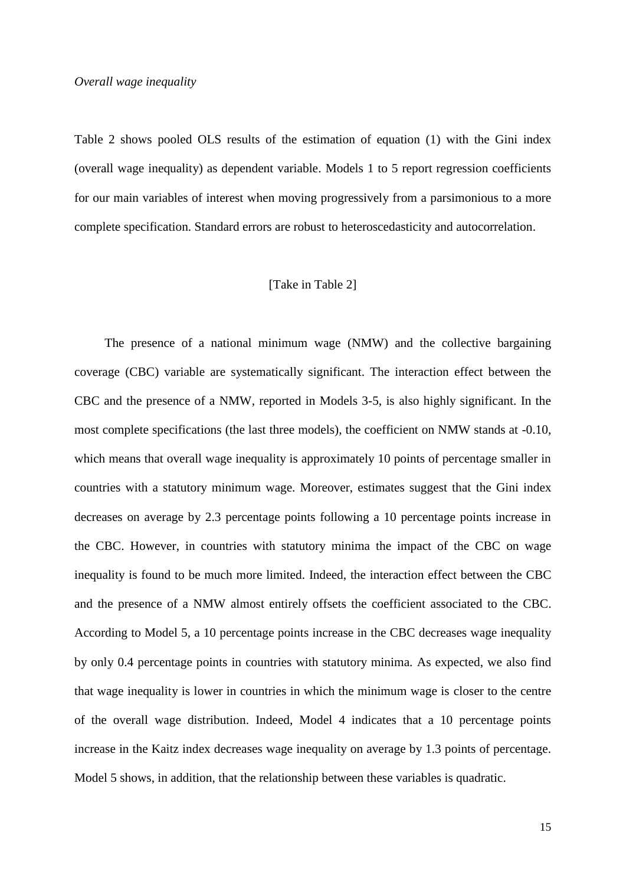Table 2 shows pooled OLS results of the estimation of equation (1) with the Gini index (overall wage inequality) as dependent variable. Models 1 to 5 report regression coefficients for our main variables of interest when moving progressively from a parsimonious to a more complete specification. Standard errors are robust to heteroscedasticity and autocorrelation.

#### [Take in Table 2]

The presence of a national minimum wage (NMW) and the collective bargaining coverage (CBC) variable are systematically significant. The interaction effect between the CBC and the presence of a NMW, reported in Models 3-5, is also highly significant. In the most complete specifications (the last three models), the coefficient on NMW stands at -0.10, which means that overall wage inequality is approximately 10 points of percentage smaller in countries with a statutory minimum wage. Moreover, estimates suggest that the Gini index decreases on average by 2.3 percentage points following a 10 percentage points increase in the CBC. However, in countries with statutory minima the impact of the CBC on wage inequality is found to be much more limited. Indeed, the interaction effect between the CBC and the presence of a NMW almost entirely offsets the coefficient associated to the CBC. According to Model 5, a 10 percentage points increase in the CBC decreases wage inequality by only 0.4 percentage points in countries with statutory minima. As expected, we also find that wage inequality is lower in countries in which the minimum wage is closer to the centre of the overall wage distribution. Indeed, Model 4 indicates that a 10 percentage points increase in the Kaitz index decreases wage inequality on average by 1.3 points of percentage. Model 5 shows, in addition, that the relationship between these variables is quadratic.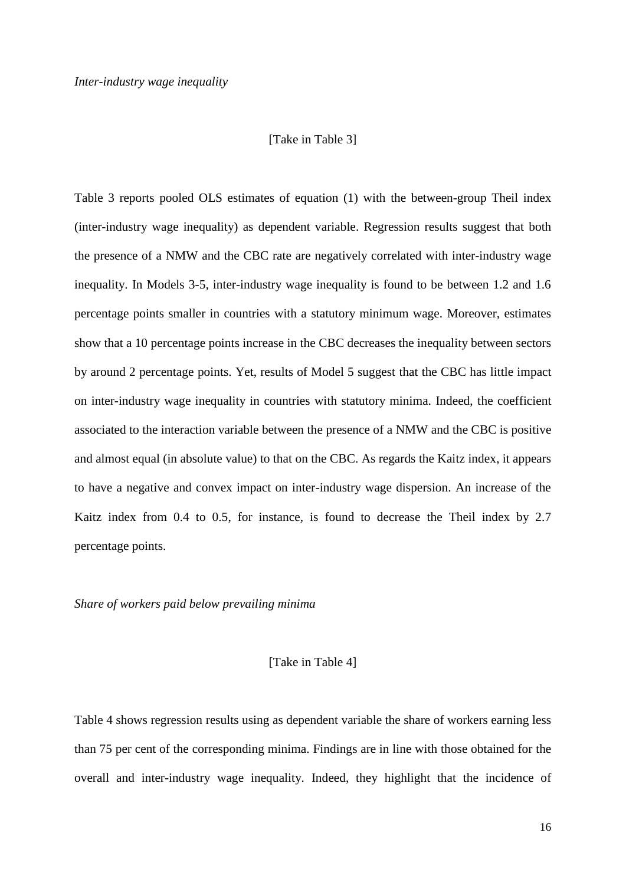#### [Take in Table 3]

Table 3 reports pooled OLS estimates of equation (1) with the between-group Theil index (inter-industry wage inequality) as dependent variable. Regression results suggest that both the presence of a NMW and the CBC rate are negatively correlated with inter-industry wage inequality. In Models 3-5, inter-industry wage inequality is found to be between 1.2 and 1.6 percentage points smaller in countries with a statutory minimum wage. Moreover, estimates show that a 10 percentage points increase in the CBC decreases the inequality between sectors by around 2 percentage points. Yet, results of Model 5 suggest that the CBC has little impact on inter-industry wage inequality in countries with statutory minima. Indeed, the coefficient associated to the interaction variable between the presence of a NMW and the CBC is positive and almost equal (in absolute value) to that on the CBC. As regards the Kaitz index, it appears to have a negative and convex impact on inter-industry wage dispersion. An increase of the Kaitz index from 0.4 to 0.5, for instance, is found to decrease the Theil index by 2.7 percentage points.

#### *Share of workers paid below prevailing minima*

#### [Take in Table 4]

Table 4 shows regression results using as dependent variable the share of workers earning less than 75 per cent of the corresponding minima. Findings are in line with those obtained for the overall and inter-industry wage inequality. Indeed, they highlight that the incidence of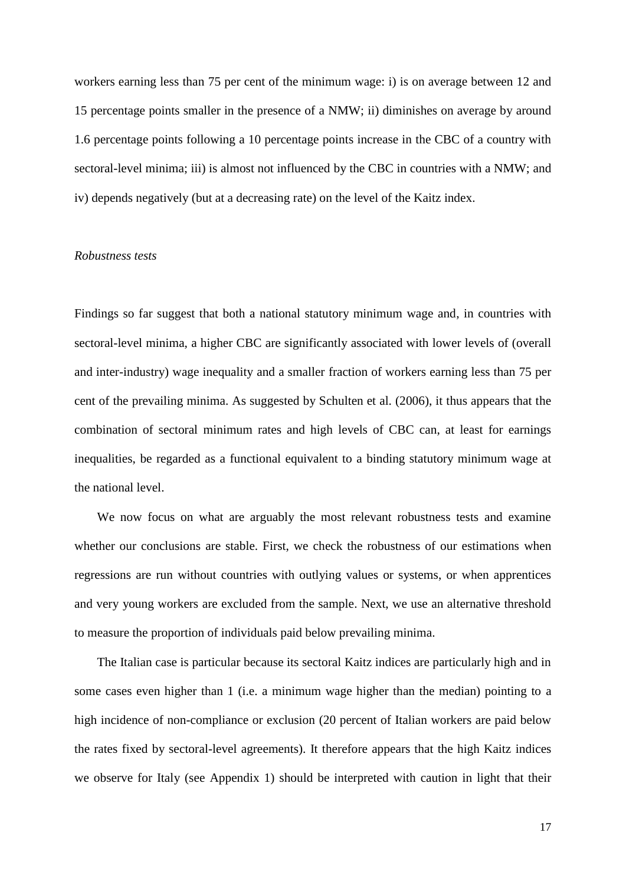workers earning less than 75 per cent of the minimum wage: i) is on average between 12 and 15 percentage points smaller in the presence of a NMW; ii) diminishes on average by around 1.6 percentage points following a 10 percentage points increase in the CBC of a country with sectoral-level minima; iii) is almost not influenced by the CBC in countries with a NMW; and iv) depends negatively (but at a decreasing rate) on the level of the Kaitz index.

#### *Robustness tests*

Findings so far suggest that both a national statutory minimum wage and, in countries with sectoral-level minima, a higher CBC are significantly associated with lower levels of (overall and inter-industry) wage inequality and a smaller fraction of workers earning less than 75 per cent of the prevailing minima. As suggested by Schulten et al. (2006), it thus appears that the combination of sectoral minimum rates and high levels of CBC can, at least for earnings inequalities, be regarded as a functional equivalent to a binding statutory minimum wage at the national level.

We now focus on what are arguably the most relevant robustness tests and examine whether our conclusions are stable. First, we check the robustness of our estimations when regressions are run without countries with outlying values or systems, or when apprentices and very young workers are excluded from the sample. Next, we use an alternative threshold to measure the proportion of individuals paid below prevailing minima.

The Italian case is particular because its sectoral Kaitz indices are particularly high and in some cases even higher than 1 (i.e. a minimum wage higher than the median) pointing to a high incidence of non-compliance or exclusion (20 percent of Italian workers are paid below the rates fixed by sectoral-level agreements). It therefore appears that the high Kaitz indices we observe for Italy (see Appendix 1) should be interpreted with caution in light that their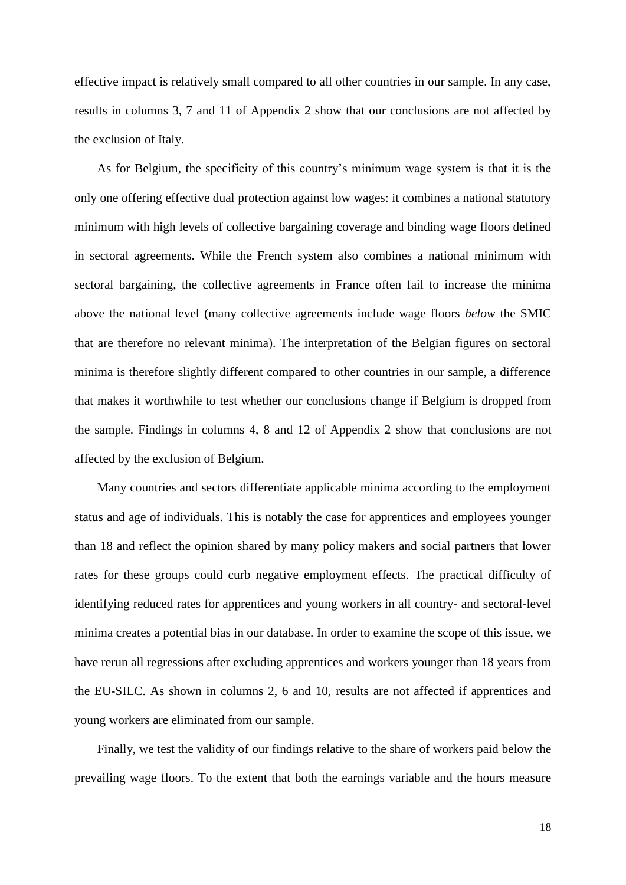effective impact is relatively small compared to all other countries in our sample. In any case, results in columns 3, 7 and 11 of Appendix 2 show that our conclusions are not affected by the exclusion of Italy.

As for Belgium, the specificity of this country's minimum wage system is that it is the only one offering effective dual protection against low wages: it combines a national statutory minimum with high levels of collective bargaining coverage and binding wage floors defined in sectoral agreements. While the French system also combines a national minimum with sectoral bargaining, the collective agreements in France often fail to increase the minima above the national level (many collective agreements include wage floors *below* the SMIC that are therefore no relevant minima). The interpretation of the Belgian figures on sectoral minima is therefore slightly different compared to other countries in our sample, a difference that makes it worthwhile to test whether our conclusions change if Belgium is dropped from the sample. Findings in columns 4, 8 and 12 of Appendix 2 show that conclusions are not affected by the exclusion of Belgium.

Many countries and sectors differentiate applicable minima according to the employment status and age of individuals. This is notably the case for apprentices and employees younger than 18 and reflect the opinion shared by many policy makers and social partners that lower rates for these groups could curb negative employment effects. The practical difficulty of identifying reduced rates for apprentices and young workers in all country- and sectoral-level minima creates a potential bias in our database. In order to examine the scope of this issue, we have rerun all regressions after excluding apprentices and workers younger than 18 years from the EU-SILC. As shown in columns 2, 6 and 10, results are not affected if apprentices and young workers are eliminated from our sample.

Finally, we test the validity of our findings relative to the share of workers paid below the prevailing wage floors. To the extent that both the earnings variable and the hours measure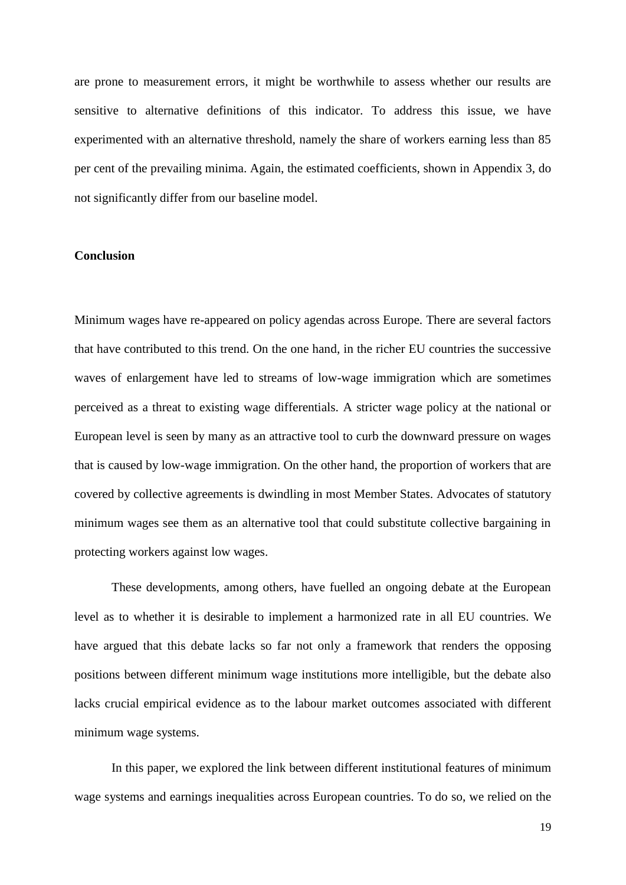are prone to measurement errors, it might be worthwhile to assess whether our results are sensitive to alternative definitions of this indicator. To address this issue, we have experimented with an alternative threshold, namely the share of workers earning less than 85 per cent of the prevailing minima. Again, the estimated coefficients, shown in Appendix 3, do not significantly differ from our baseline model.

#### **Conclusion**

Minimum wages have re-appeared on policy agendas across Europe. There are several factors that have contributed to this trend. On the one hand, in the richer EU countries the successive waves of enlargement have led to streams of low-wage immigration which are sometimes perceived as a threat to existing wage differentials. A stricter wage policy at the national or European level is seen by many as an attractive tool to curb the downward pressure on wages that is caused by low-wage immigration. On the other hand, the proportion of workers that are covered by collective agreements is dwindling in most Member States. Advocates of statutory minimum wages see them as an alternative tool that could substitute collective bargaining in protecting workers against low wages.

These developments, among others, have fuelled an ongoing debate at the European level as to whether it is desirable to implement a harmonized rate in all EU countries. We have argued that this debate lacks so far not only a framework that renders the opposing positions between different minimum wage institutions more intelligible, but the debate also lacks crucial empirical evidence as to the labour market outcomes associated with different minimum wage systems.

In this paper, we explored the link between different institutional features of minimum wage systems and earnings inequalities across European countries. To do so, we relied on the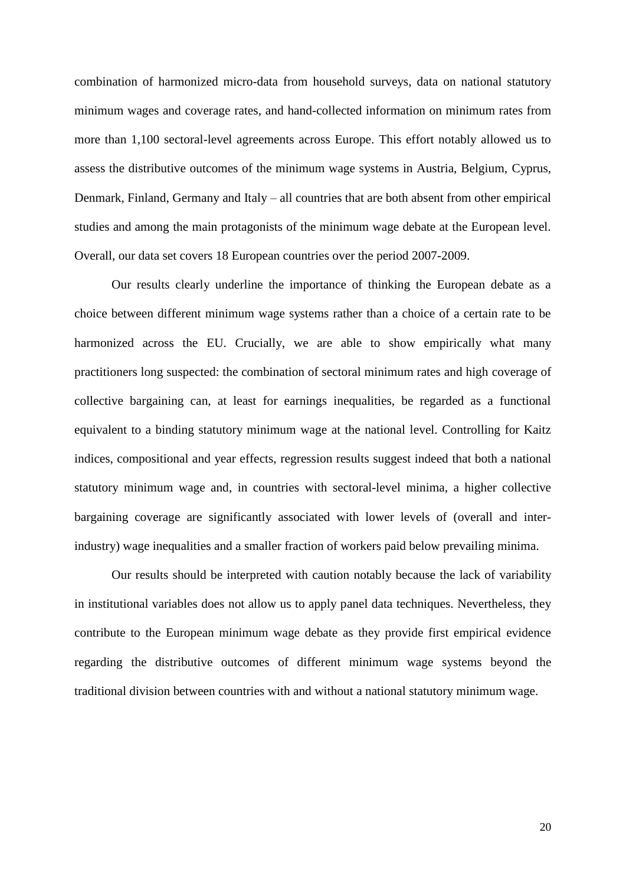combination of harmonized micro-data from household surveys, data on national statutory minimum wages and coverage rates, and hand-collected information on minimum rates from more than 1,100 sectoral-level agreements across Europe. This effort notably allowed us to assess the distributive outcomes of the minimum wage systems in Austria, Belgium, Cyprus, Denmark, Finland, Germany and Italy – all countries that are both absent from other empirical studies and among the main protagonists of the minimum wage debate at the European level. Overall, our data set covers 18 European countries over the period 2007-2009.

Our results clearly underline the importance of thinking the European debate as a choice between different minimum wage systems rather than a choice of a certain rate to be harmonized across the EU. Crucially, we are able to show empirically what many practitioners long suspected: the combination of sectoral minimum rates and high coverage of collective bargaining can, at least for earnings inequalities, be regarded as a functional equivalent to a binding statutory minimum wage at the national level. Controlling for Kaitz indices, compositional and year effects, regression results suggest indeed that both a national statutory minimum wage and, in countries with sectoral-level minima, a higher collective bargaining coverage are significantly associated with lower levels of (overall and interindustry) wage inequalities and a smaller fraction of workers paid below prevailing minima.

Our results should be interpreted with caution notably because the lack of variability in institutional variables does not allow us to apply panel data techniques. Nevertheless, they contribute to the European minimum wage debate as they provide first empirical evidence regarding the distributive outcomes of different minimum wage systems beyond the traditional division between countries with and without a national statutory minimum wage.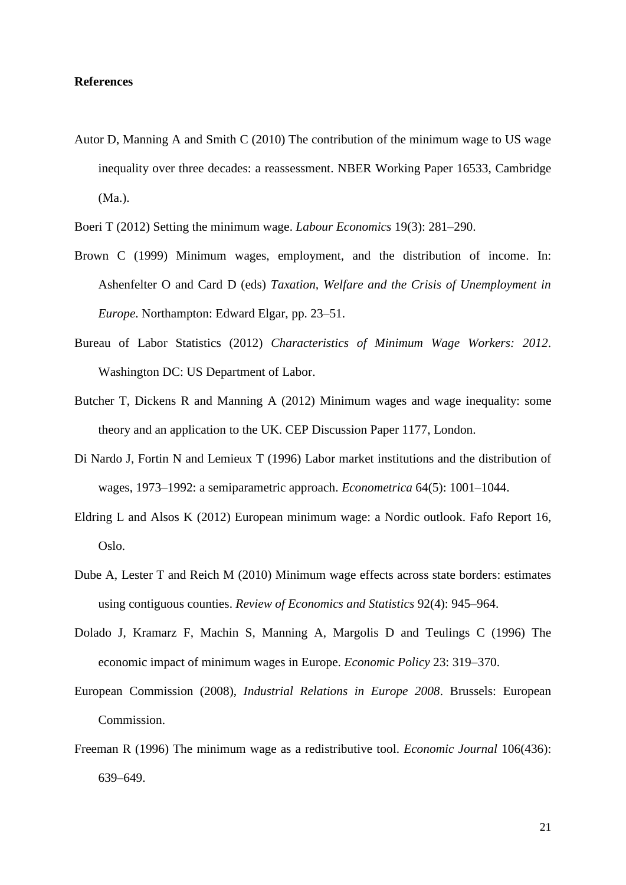#### **References**

Autor D, Manning A and Smith C (2010) The contribution of the minimum wage to US wage inequality over three decades: a reassessment. NBER Working Paper 16533, Cambridge (Ma.).



- Brown C (1999) Minimum wages, employment, and the distribution of income. In: Ashenfelter O and Card D (eds) *Taxation, Welfare and the Crisis of Unemployment in Europe*. Northampton: Edward Elgar, pp. 23–51.
- Bureau of Labor Statistics (2012) *Characteristics of Minimum Wage Workers: 2012*. Washington DC: US Department of Labor.
- Butcher T, Dickens R and Manning A (2012) Minimum wages and wage inequality: some theory and an application to the UK. CEP Discussion Paper 1177, London.
- Di Nardo J, Fortin N and Lemieux T (1996) Labor market institutions and the distribution of wages, 1973–1992: a semiparametric approach. *Econometrica* 64(5): 1001–1044.
- Eldring L and Alsos K (2012) European minimum wage: a Nordic outlook. Fafo Report 16, Oslo.
- Dube A, Lester T and Reich M (2010) Minimum wage effects across state borders: estimates using contiguous counties. *Review of Economics and Statistics* 92(4): 945–964.
- Dolado J, Kramarz F, Machin S, Manning A, Margolis D and Teulings C (1996) The economic impact of minimum wages in Europe. *Economic Policy* 23: 319–370.
- European Commission (2008), *Industrial Relations in Europe 2008*. Brussels: European Commission.
- Freeman R (1996) The minimum wage as a redistributive tool. *Economic Journal* 106(436): 639–649.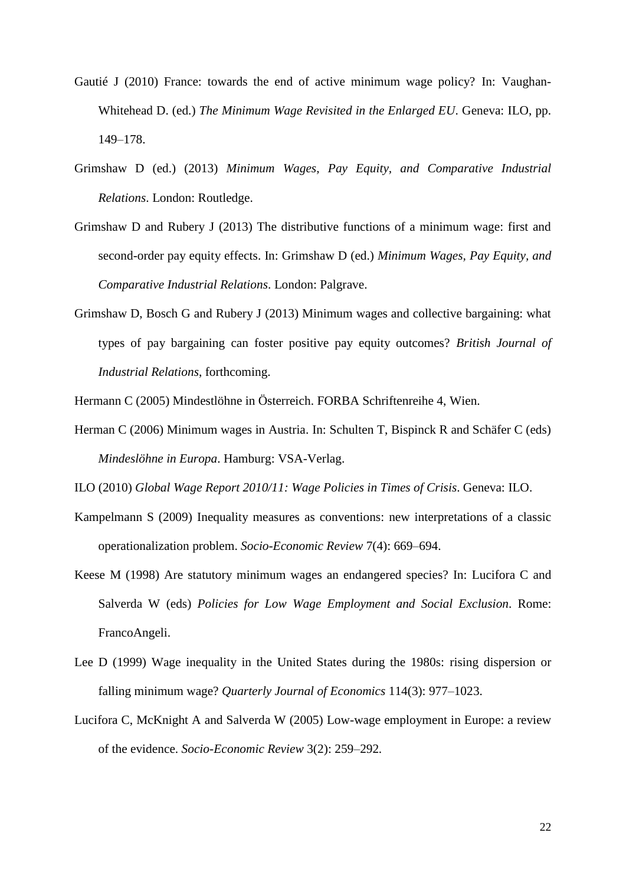- Gautié J (2010) France: towards the end of active minimum wage policy? In: Vaughan-Whitehead D. (ed.) *The Minimum Wage Revisited in the Enlarged EU*. Geneva: ILO, pp. 149–178.
- Grimshaw D (ed.) (2013) *Minimum Wages, Pay Equity, and Comparative Industrial Relations*. London: Routledge.
- Grimshaw D and Rubery J (2013) The distributive functions of a minimum wage: first and second-order pay equity effects. In: Grimshaw D (ed.) *Minimum Wages, Pay Equity, and Comparative Industrial Relations*. London: Palgrave.
- Grimshaw D, Bosch G and Rubery J (2013) Minimum wages and collective bargaining: what types of pay bargaining can foster positive pay equity outcomes? *British Journal of Industrial Relations*, forthcoming.
- Hermann C (2005) Mindestlöhne in Österreich. FORBA Schriftenreihe 4, Wien.
- Herman C (2006) Minimum wages in Austria. In: Schulten T, Bispinck R and Schäfer C (eds) *Mindeslöhne in Europa*. Hamburg: VSA-Verlag.

ILO (2010) *Global Wage Report 2010/11: Wage Policies in Times of Crisis*. Geneva: ILO.

- Kampelmann S (2009) Inequality measures as conventions: new interpretations of a classic operationalization problem. *Socio-Economic Review* 7(4): 669–694.
- Keese M (1998) Are statutory minimum wages an endangered species? In: Lucifora C and Salverda W (eds) *Policies for Low Wage Employment and Social Exclusion*. Rome: FrancoAngeli.
- Lee D (1999) Wage inequality in the United States during the 1980s: rising dispersion or falling minimum wage? *Quarterly Journal of Economics* 114(3): 977–1023.
- Lucifora C, McKnight A and Salverda W (2005) Low-wage employment in Europe: a review of the evidence. *Socio-Economic Review* 3(2): 259–292*.*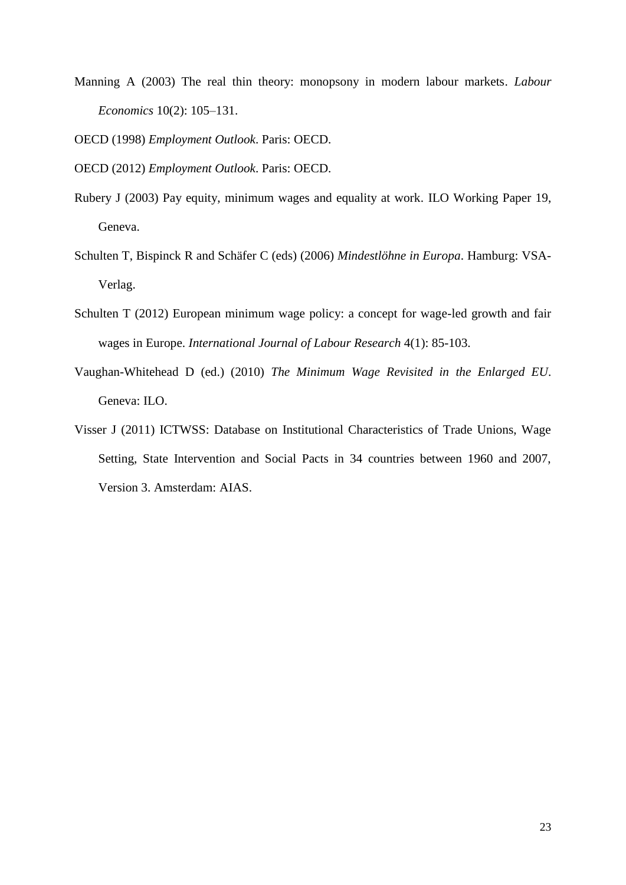Manning A (2003) The real thin theory: monopsony in modern labour markets. *Labour Economics* 10(2): 105–131.

OECD (1998) *Employment Outlook*. Paris: OECD.

OECD (2012) *Employment Outlook*. Paris: OECD.

- Rubery J (2003) Pay equity, minimum wages and equality at work. ILO Working Paper 19, Geneva.
- Schulten T, Bispinck R and Schäfer C (eds) (2006) *Mindestlöhne in Europa*. Hamburg: VSA-Verlag.
- Schulten T (2012) European minimum wage policy: a concept for wage-led growth and fair wages in Europe. *International Journal of Labour Research* 4(1): 85-103.
- Vaughan-Whitehead D (ed.) (2010) *The Minimum Wage Revisited in the Enlarged EU*. Geneva: ILO.
- Visser J (2011) ICTWSS: Database on Institutional Characteristics of Trade Unions, Wage Setting, State Intervention and Social Pacts in 34 countries between 1960 and 2007, Version 3. Amsterdam: AIAS.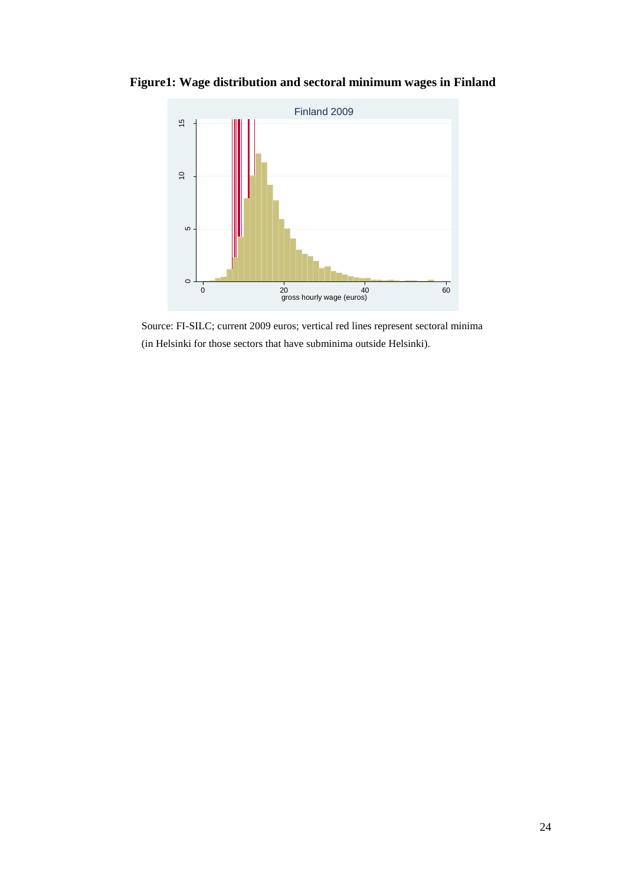

**Figure1: Wage distribution and sectoral minimum wages in Finland**

Source: FI-SILC; current 2009 euros; vertical red lines represent sectoral minima (in Helsinki for those sectors that have subminima outside Helsinki).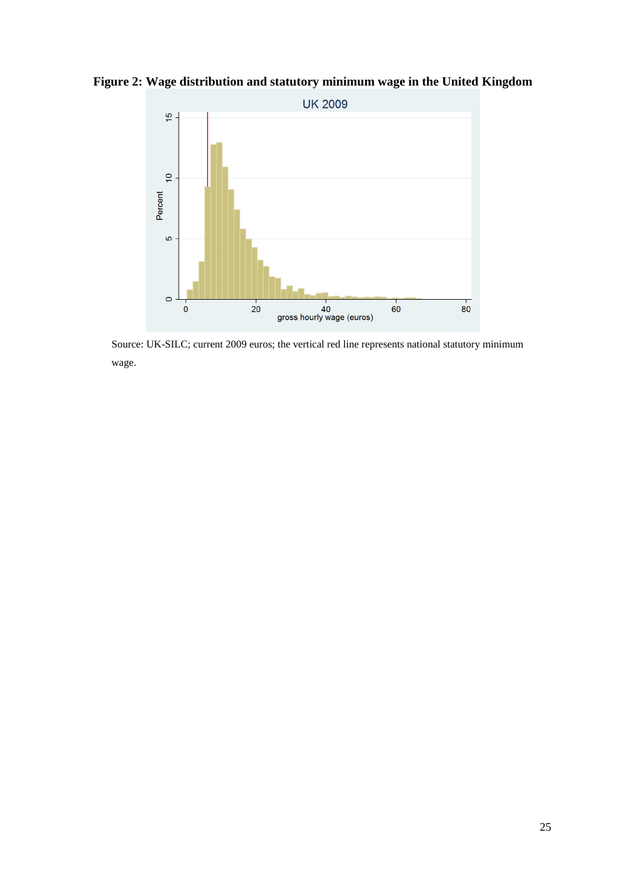**Figure 2: Wage distribution and statutory minimum wage in the United Kingdom**



Source: UK-SILC; current 2009 euros; the vertical red line represents national statutory minimum wage.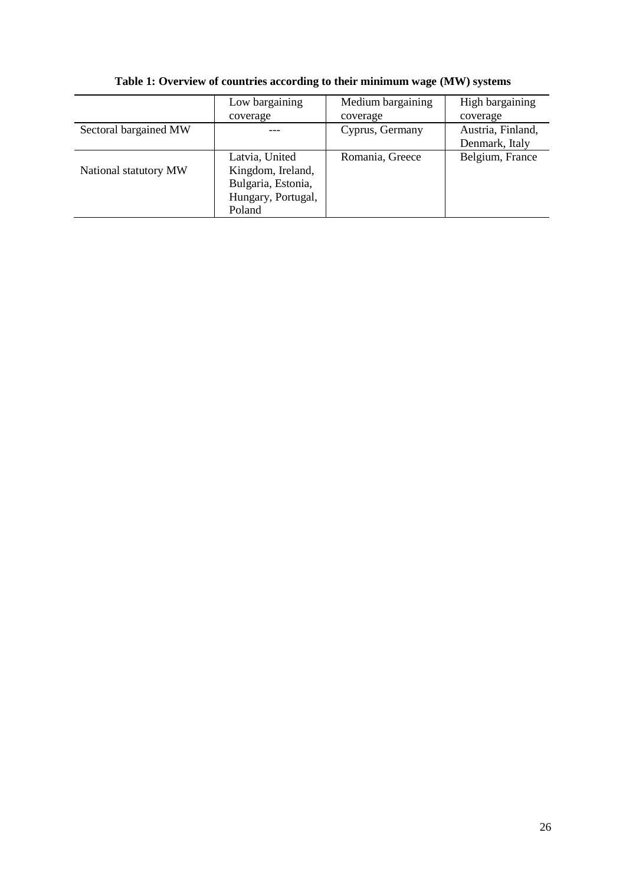|                       | Low bargaining     | Medium bargaining | High bargaining   |
|-----------------------|--------------------|-------------------|-------------------|
|                       | coverage           | coverage          | coverage          |
| Sectoral bargained MW |                    | Cyprus, Germany   | Austria, Finland, |
|                       |                    |                   | Denmark, Italy    |
|                       | Latvia, United     | Romania, Greece   | Belgium, France   |
| National statutory MW | Kingdom, Ireland,  |                   |                   |
|                       | Bulgaria, Estonia, |                   |                   |
|                       | Hungary, Portugal, |                   |                   |
|                       | Poland             |                   |                   |

**Table 1: Overview of countries according to their minimum wage (MW) systems**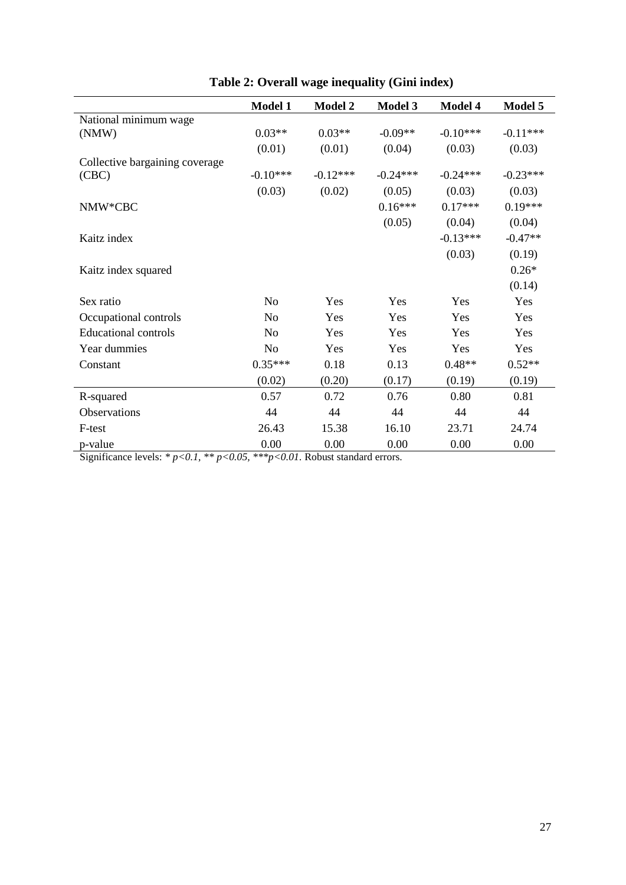|                                | <b>Model 1</b> | <b>Model 2</b> | <b>Model 3</b> | Model 4    | Model 5    |
|--------------------------------|----------------|----------------|----------------|------------|------------|
| National minimum wage          |                |                |                |            |            |
| (NMW)                          | $0.03**$       | $0.03**$       | $-0.09**$      | $-0.10***$ | $-0.11***$ |
|                                | (0.01)         | (0.01)         | (0.04)         | (0.03)     | (0.03)     |
| Collective bargaining coverage |                |                |                |            |            |
| (CBC)                          | $-0.10***$     | $-0.12***$     | $-0.24***$     | $-0.24***$ | $-0.23***$ |
|                                | (0.03)         | (0.02)         | (0.05)         | (0.03)     | (0.03)     |
| NMW*CBC                        |                |                | $0.16***$      | $0.17***$  | $0.19***$  |
|                                |                |                | (0.05)         | (0.04)     | (0.04)     |
| Kaitz index                    |                |                |                | $-0.13***$ | $-0.47**$  |
|                                |                |                |                | (0.03)     | (0.19)     |
| Kaitz index squared            |                |                |                |            | $0.26*$    |
|                                |                |                |                |            | (0.14)     |
| Sex ratio                      | N <sub>o</sub> | Yes            | Yes            | Yes        | Yes        |
| Occupational controls          | N <sub>0</sub> | Yes            | Yes            | Yes        | Yes        |
| <b>Educational controls</b>    | N <sub>o</sub> | Yes            | Yes            | Yes        | Yes        |
| Year dummies                   | N <sub>o</sub> | Yes            | Yes            | Yes        | Yes        |
| Constant                       | $0.35***$      | 0.18           | 0.13           | $0.48**$   | $0.52**$   |
|                                | (0.02)         | (0.20)         | (0.17)         | (0.19)     | (0.19)     |
| R-squared                      | 0.57           | 0.72           | 0.76           | 0.80       | 0.81       |
| Observations                   | 44             | 44             | 44             | 44         | 44         |
| F-test                         | 26.43          | 15.38          | 16.10          | 23.71      | 24.74      |
| p-value                        | 0.00           | 0.00           | 0.00           | 0.00       | 0.00       |

**Table 2: Overall wage inequality (Gini index)**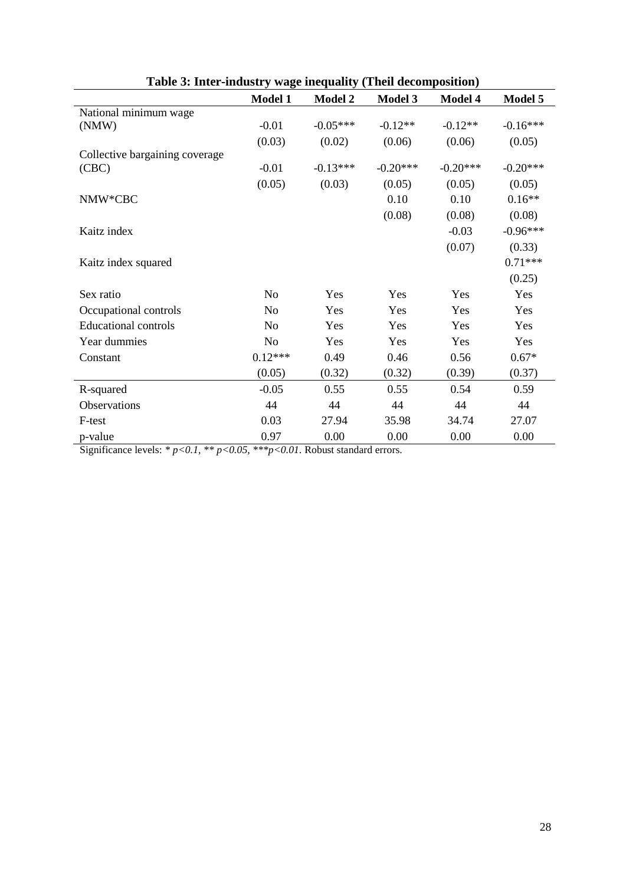|                                | Model 1        | <b>Model 2</b> | <b>Model 3</b> | <b>Model 4</b> | Model 5    |
|--------------------------------|----------------|----------------|----------------|----------------|------------|
| National minimum wage          |                |                |                |                |            |
| (NMW)                          | $-0.01$        | $-0.05***$     | $-0.12**$      | $-0.12**$      | $-0.16***$ |
|                                | (0.03)         | (0.02)         | (0.06)         | (0.06)         | (0.05)     |
| Collective bargaining coverage |                |                |                |                |            |
| (CBC)                          | $-0.01$        | $-0.13***$     | $-0.20***$     | $-0.20***$     | $-0.20***$ |
|                                | (0.05)         | (0.03)         | (0.05)         | (0.05)         | (0.05)     |
| NMW*CBC                        |                |                | 0.10           | 0.10           | $0.16**$   |
|                                |                |                | (0.08)         | (0.08)         | (0.08)     |
| Kaitz index                    |                |                |                | $-0.03$        | $-0.96***$ |
|                                |                |                |                | (0.07)         | (0.33)     |
| Kaitz index squared            |                |                |                |                | $0.71***$  |
|                                |                |                |                |                | (0.25)     |
| Sex ratio                      | N <sub>o</sub> | Yes            | Yes            | Yes            | Yes        |
| Occupational controls          | N <sub>o</sub> | Yes            | Yes            | Yes            | Yes        |
| <b>Educational controls</b>    | N <sub>o</sub> | Yes            | Yes            | Yes            | Yes        |
| Year dummies                   | N <sub>o</sub> | Yes            | Yes            | Yes            | Yes        |
| Constant                       | $0.12***$      | 0.49           | 0.46           | 0.56           | $0.67*$    |
|                                | (0.05)         | (0.32)         | (0.32)         | (0.39)         | (0.37)     |
| R-squared                      | $-0.05$        | 0.55           | 0.55           | 0.54           | 0.59       |
| Observations                   | 44             | 44             | 44             | 44             | 44         |
| F-test                         | 0.03           | 27.94          | 35.98          | 34.74          | 27.07      |
| p-value                        | 0.97           | 0.00           | 0.00           | 0.00           | 0.00       |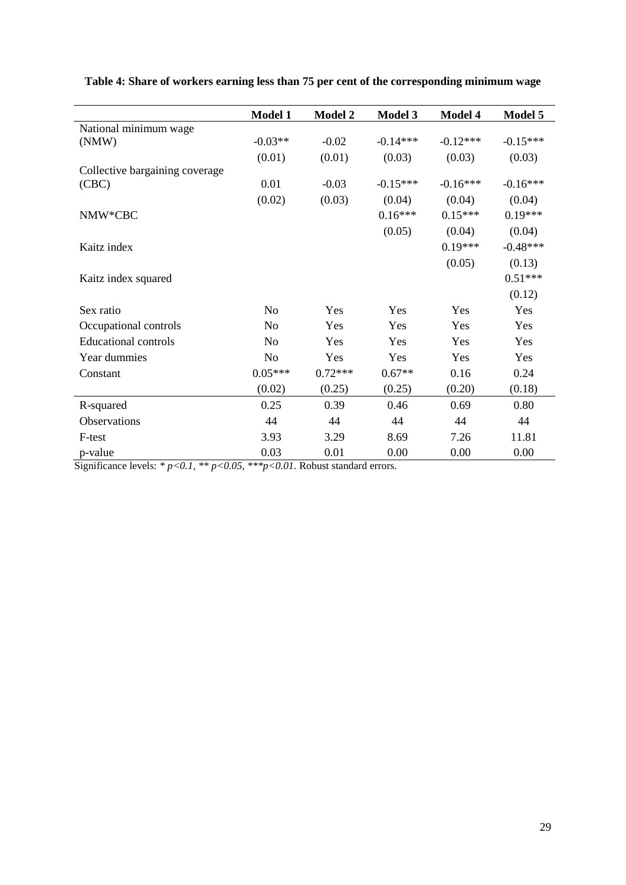|                                | Model 1        | <b>Model 2</b> | <b>Model 3</b> | Model 4    | Model 5    |
|--------------------------------|----------------|----------------|----------------|------------|------------|
| National minimum wage          |                |                |                |            |            |
| (NMW)                          | $-0.03**$      | $-0.02$        | $-0.14***$     | $-0.12***$ | $-0.15***$ |
|                                | (0.01)         | (0.01)         | (0.03)         | (0.03)     | (0.03)     |
| Collective bargaining coverage |                |                |                |            |            |
| (CBC)                          | 0.01           | $-0.03$        | $-0.15***$     | $-0.16***$ | $-0.16***$ |
|                                | (0.02)         | (0.03)         | (0.04)         | (0.04)     | (0.04)     |
| NMW*CBC                        |                |                | $0.16***$      | $0.15***$  | $0.19***$  |
|                                |                |                | (0.05)         | (0.04)     | (0.04)     |
| Kaitz index                    |                |                |                | $0.19***$  | $-0.48***$ |
|                                |                |                |                | (0.05)     | (0.13)     |
| Kaitz index squared            |                |                |                |            | $0.51***$  |
|                                |                |                |                |            | (0.12)     |
| Sex ratio                      | No             | Yes            | Yes            | Yes        | Yes        |
| Occupational controls          | N <sub>o</sub> | Yes            | Yes            | Yes        | Yes        |
| <b>Educational controls</b>    | N <sub>0</sub> | Yes            | Yes            | Yes        | Yes        |
| Year dummies                   | N <sub>o</sub> | Yes            | Yes            | Yes        | Yes        |
| Constant                       | $0.05***$      | $0.72***$      | $0.67**$       | 0.16       | 0.24       |
|                                | (0.02)         | (0.25)         | (0.25)         | (0.20)     | (0.18)     |
| R-squared                      | 0.25           | 0.39           | 0.46           | 0.69       | 0.80       |
| Observations                   | 44             | 44             | 44             | 44         | 44         |
| F-test                         | 3.93           | 3.29           | 8.69           | 7.26       | 11.81      |
| p-value                        | 0.03           | 0.01           | 0.00           | 0.00       | 0.00       |

**Table 4: Share of workers earning less than 75 per cent of the corresponding minimum wage**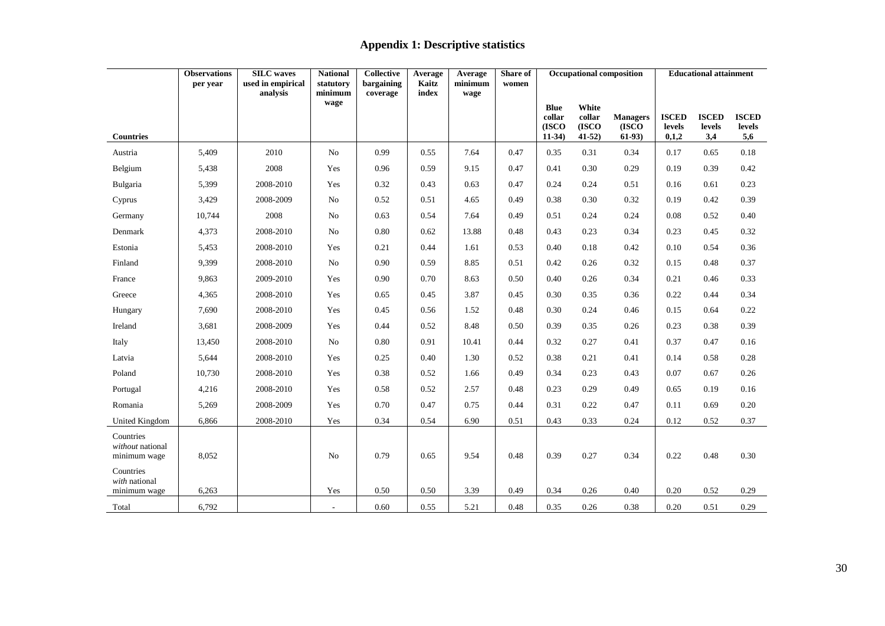### **Appendix 1: Descriptive statistics**

|                                               | <b>Observations</b> | <b>SILC</b> waves             | <b>National</b>      | <b>Collective</b>      | Average        | Average         | Share of | <b>Occupational composition</b> |                   |                   | <b>Educational attainment</b> |               |               |
|-----------------------------------------------|---------------------|-------------------------------|----------------------|------------------------|----------------|-----------------|----------|---------------------------------|-------------------|-------------------|-------------------------------|---------------|---------------|
|                                               | per year            | used in empirical<br>analysis | statutory<br>minimum | bargaining<br>coverage | Kaitz<br>index | minimum<br>wage | women    |                                 |                   |                   |                               |               |               |
|                                               |                     |                               | wage                 |                        |                |                 |          | <b>Blue</b><br>collar           | White<br>collar   | <b>Managers</b>   | <b>ISCED</b>                  | <b>ISCED</b>  | <b>ISCED</b>  |
|                                               |                     |                               |                      |                        |                |                 |          | (ISCO)<br>$11-34$               | (ISCO)<br>$41-52$ | (ISCO)<br>$61-93$ | levels<br>0,1,2               | levels<br>3,4 | <b>levels</b> |
| <b>Countries</b>                              |                     |                               |                      |                        |                |                 |          |                                 |                   |                   |                               |               | 5,6           |
| Austria                                       | 5,409               | 2010                          | No                   | 0.99                   | 0.55           | 7.64            | 0.47     | 0.35                            | 0.31              | 0.34              | 0.17                          | 0.65          | 0.18          |
| Belgium                                       | 5,438               | 2008                          | Yes                  | 0.96                   | 0.59           | 9.15            | 0.47     | 0.41                            | 0.30              | 0.29              | 0.19                          | 0.39          | 0.42          |
| Bulgaria                                      | 5,399               | 2008-2010                     | Yes                  | 0.32                   | 0.43           | 0.63            | 0.47     | 0.24                            | 0.24              | 0.51              | 0.16                          | 0.61          | 0.23          |
| Cyprus                                        | 3,429               | 2008-2009                     | No                   | 0.52                   | 0.51           | 4.65            | 0.49     | 0.38                            | 0.30              | 0.32              | 0.19                          | 0.42          | 0.39          |
| Germany                                       | 10,744              | 2008                          | No                   | 0.63                   | 0.54           | 7.64            | 0.49     | 0.51                            | 0.24              | 0.24              | 0.08                          | 0.52          | 0.40          |
| Denmark                                       | 4,373               | 2008-2010                     | No                   | 0.80                   | 0.62           | 13.88           | 0.48     | 0.43                            | 0.23              | 0.34              | 0.23                          | 0.45          | 0.32          |
| Estonia                                       | 5,453               | 2008-2010                     | Yes                  | 0.21                   | 0.44           | 1.61            | 0.53     | 0.40                            | 0.18              | 0.42              | 0.10                          | 0.54          | 0.36          |
| Finland                                       | 9,399               | 2008-2010                     | No                   | 0.90                   | 0.59           | 8.85            | 0.51     | 0.42                            | 0.26              | 0.32              | 0.15                          | 0.48          | 0.37          |
| France                                        | 9,863               | 2009-2010                     | Yes                  | 0.90                   | 0.70           | 8.63            | 0.50     | 0.40                            | 0.26              | 0.34              | 0.21                          | 0.46          | 0.33          |
| Greece                                        | 4,365               | 2008-2010                     | Yes                  | 0.65                   | 0.45           | 3.87            | 0.45     | 0.30                            | 0.35              | 0.36              | 0.22                          | 0.44          | 0.34          |
| Hungary                                       | 7,690               | 2008-2010                     | Yes                  | 0.45                   | 0.56           | 1.52            | 0.48     | 0.30                            | 0.24              | 0.46              | 0.15                          | 0.64          | 0.22          |
| Ireland                                       | 3,681               | 2008-2009                     | Yes                  | 0.44                   | 0.52           | 8.48            | 0.50     | 0.39                            | 0.35              | 0.26              | 0.23                          | 0.38          | 0.39          |
| Italy                                         | 13,450              | 2008-2010                     | No                   | 0.80                   | 0.91           | 10.41           | 0.44     | 0.32                            | 0.27              | 0.41              | 0.37                          | 0.47          | 0.16          |
| Latvia                                        | 5,644               | 2008-2010                     | Yes                  | 0.25                   | 0.40           | 1.30            | 0.52     | 0.38                            | 0.21              | 0.41              | 0.14                          | 0.58          | 0.28          |
| Poland                                        | 10,730              | 2008-2010                     | Yes                  | 0.38                   | 0.52           | 1.66            | 0.49     | 0.34                            | 0.23              | 0.43              | 0.07                          | 0.67          | 0.26          |
| Portugal                                      | 4,216               | 2008-2010                     | Yes                  | 0.58                   | 0.52           | 2.57            | 0.48     | 0.23                            | 0.29              | 0.49              | 0.65                          | 0.19          | 0.16          |
| Romania                                       | 5,269               | 2008-2009                     | Yes                  | 0.70                   | 0.47           | 0.75            | 0.44     | 0.31                            | 0.22              | 0.47              | 0.11                          | 0.69          | 0.20          |
| United Kingdom                                | 6,866               | 2008-2010                     | Yes                  | 0.34                   | 0.54           | 6.90            | 0.51     | 0.43                            | 0.33              | 0.24              | 0.12                          | 0.52          | 0.37          |
| Countries<br>without national<br>minimum wage | 8,052               |                               | No                   | 0.79                   | 0.65           | 9.54            | 0.48     | 0.39                            | 0.27              | 0.34              | 0.22                          | 0.48          | 0.30          |
| Countries<br>with national<br>minimum wage    | 6,263               |                               | Yes                  | 0.50                   | 0.50           | 3.39            | 0.49     | 0.34                            | 0.26              | 0.40              | 0.20                          | 0.52          | 0.29          |
| Total                                         | 6,792               |                               |                      | 0.60                   | 0.55           | 5.21            | 0.48     | 0.35                            | 0.26              | 0.38              | 0.20                          | 0.51          | 0.29          |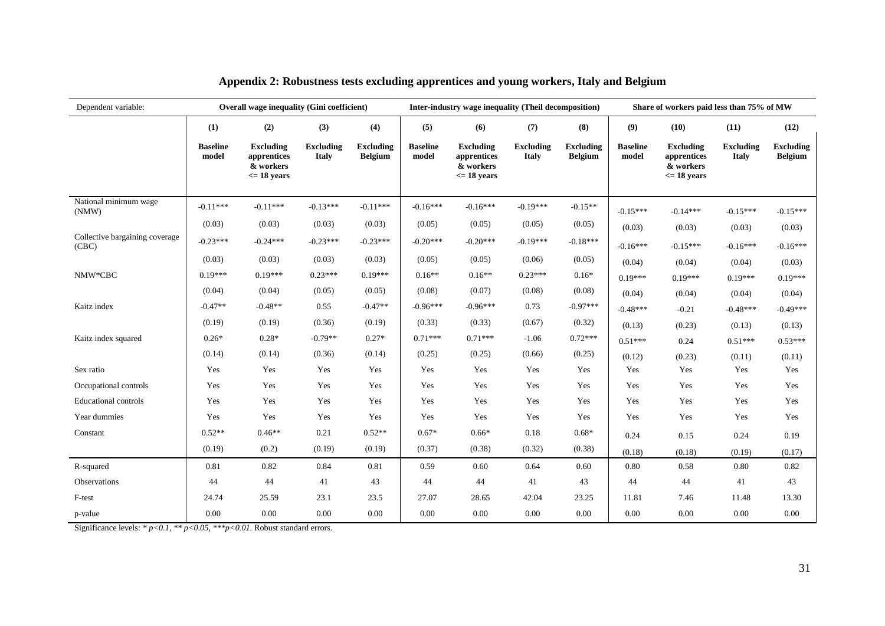| Dependent variable:                     | Overall wage inequality (Gini coefficient) |                                                                       |                                  |                                    | Inter-industry wage inequality (Theil decomposition) |                                                                       |                                  |                                    | Share of workers paid less than 75% of MW |                                                                       |                                  |                                    |
|-----------------------------------------|--------------------------------------------|-----------------------------------------------------------------------|----------------------------------|------------------------------------|------------------------------------------------------|-----------------------------------------------------------------------|----------------------------------|------------------------------------|-------------------------------------------|-----------------------------------------------------------------------|----------------------------------|------------------------------------|
|                                         | (1)                                        | (2)                                                                   | (3)                              | (4)                                | (5)                                                  | (6)                                                                   | (7)                              | (8)                                | (9)                                       | (10)                                                                  | (11)                             | (12)                               |
|                                         | <b>Baseline</b><br>model                   | <b>Excluding</b><br>apprentices<br>& workers<br>$\epsilon$ = 18 years | <b>Excluding</b><br><b>Italy</b> | <b>Excluding</b><br><b>Belgium</b> | <b>Baseline</b><br>model                             | <b>Excluding</b><br>apprentices<br>& workers<br>$\epsilon$ = 18 years | <b>Excluding</b><br><b>Italy</b> | <b>Excluding</b><br><b>Belgium</b> | <b>Baseline</b><br>model                  | <b>Excluding</b><br>apprentices<br>& workers<br>$\epsilon$ = 18 years | <b>Excluding</b><br><b>Italy</b> | <b>Excluding</b><br><b>Belgium</b> |
| National minimum wage<br>(NMW)          | $-0.11***$                                 | $-0.11***$                                                            | $-0.13***$                       | $-0.11***$                         | $-0.16***$                                           | $-0.16***$                                                            | $-0.19***$                       | $-0.15**$                          | $-0.15***$                                | $-0.14***$                                                            | $-0.15***$                       | $-0.15***$                         |
|                                         | (0.03)                                     | (0.03)                                                                | (0.03)                           | (0.03)                             | (0.05)                                               | (0.05)                                                                | (0.05)                           | (0.05)                             | (0.03)                                    | (0.03)                                                                | (0.03)                           | (0.03)                             |
| Collective bargaining coverage<br>(CBC) | $-0.23***$                                 | $-0.24***$                                                            | $-0.23***$                       | $-0.23***$                         | $-0.20***$                                           | $-0.20***$                                                            | $-0.19***$                       | $-0.18***$                         | $-0.16***$                                | $-0.15***$                                                            | $-0.16***$                       | $-0.16***$                         |
|                                         | (0.03)                                     | (0.03)                                                                | (0.03)                           | (0.03)                             | (0.05)                                               | (0.05)                                                                | (0.06)                           | (0.05)                             | (0.04)                                    | (0.04)                                                                | (0.04)                           | (0.03)                             |
| NMW*CBC                                 | $0.19***$                                  | $0.19***$                                                             | $0.23***$                        | $0.19***$                          | $0.16**$                                             | $0.16**$                                                              | $0.23***$                        | $0.16*$                            | $0.19***$                                 | $0.19***$                                                             | $0.19***$                        | $0.19***$                          |
|                                         | (0.04)                                     | (0.04)                                                                | (0.05)                           | (0.05)                             | (0.08)                                               | (0.07)                                                                | (0.08)                           | (0.08)                             | (0.04)                                    | (0.04)                                                                | (0.04)                           | (0.04)                             |
| Kaitz index                             | $-0.47**$                                  | $-0.48**$                                                             | 0.55                             | $-0.47**$                          | $-0.96***$                                           | $-0.96***$                                                            | 0.73                             | $-0.97***$                         | $-0.48***$                                | $-0.21$                                                               | $-0.48***$                       | $-0.49***$                         |
|                                         | (0.19)                                     | (0.19)                                                                | (0.36)                           | (0.19)                             | (0.33)                                               | (0.33)                                                                | (0.67)                           | (0.32)                             | (0.13)                                    | (0.23)                                                                | (0.13)                           | (0.13)                             |
| Kaitz index squared                     | $0.26*$                                    | $0.28*$                                                               | $-0.79**$                        | $0.27*$                            | $0.71***$                                            | $0.71***$                                                             | $-1.06$                          | $0.72***$                          | $0.51***$                                 | 0.24                                                                  | $0.51***$                        | $0.53***$                          |
|                                         | (0.14)                                     | (0.14)                                                                | (0.36)                           | (0.14)                             | (0.25)                                               | (0.25)                                                                | (0.66)                           | (0.25)                             | (0.12)                                    | (0.23)                                                                | (0.11)                           | (0.11)                             |
| Sex ratio                               | Yes                                        | Yes                                                                   | Yes                              | Yes                                | Yes                                                  | Yes                                                                   | Yes                              | Yes                                | Yes                                       | Yes                                                                   | Yes                              | Yes                                |
| Occupational controls                   | Yes                                        | Yes                                                                   | Yes                              | Yes                                | Yes                                                  | Yes                                                                   | Yes                              | Yes                                | Yes                                       | Yes                                                                   | Yes                              | Yes                                |
| <b>Educational controls</b>             | Yes                                        | Yes                                                                   | Yes                              | Yes                                | Yes                                                  | Yes                                                                   | Yes                              | Yes                                | Yes                                       | Yes                                                                   | Yes                              | Yes                                |
| Year dummies                            | Yes                                        | Yes                                                                   | Yes                              | Yes                                | Yes                                                  | Yes                                                                   | Yes                              | Yes                                | Yes                                       | Yes                                                                   | Yes                              | Yes                                |
| Constant                                | $0.52**$                                   | $0.46**$                                                              | 0.21                             | $0.52**$                           | $0.67*$                                              | $0.66*$                                                               | 0.18                             | $0.68*$                            | 0.24                                      | 0.15                                                                  | 0.24                             | 0.19                               |
|                                         | (0.19)                                     | (0.2)                                                                 | (0.19)                           | (0.19)                             | (0.37)                                               | (0.38)                                                                | (0.32)                           | (0.38)                             | (0.18)                                    | (0.18)                                                                | (0.19)                           | (0.17)                             |
| R-squared                               | 0.81                                       | 0.82                                                                  | 0.84                             | 0.81                               | 0.59                                                 | 0.60                                                                  | 0.64                             | 0.60                               | 0.80                                      | 0.58                                                                  | 0.80                             | 0.82                               |
| Observations                            | 44                                         | 44                                                                    | 41                               | 43                                 | 44                                                   | 44                                                                    | 41                               | 43                                 | 44                                        | 44                                                                    | 41                               | 43                                 |
| F-test                                  | 24.74                                      | 25.59                                                                 | 23.1                             | 23.5                               | 27.07                                                | 28.65                                                                 | 42.04                            | 23.25                              | 11.81                                     | 7.46                                                                  | 11.48                            | 13.30                              |
| p-value                                 | 0.00                                       | 0.00                                                                  | 0.00                             | 0.00                               | 0.00                                                 | 0.00                                                                  | 0.00                             | 0.00                               | 0.00                                      | 0.00                                                                  | 0.00                             | 0.00                               |

#### **Appendix 2: Robustness tests excluding apprentices and young workers, Italy and Belgium**